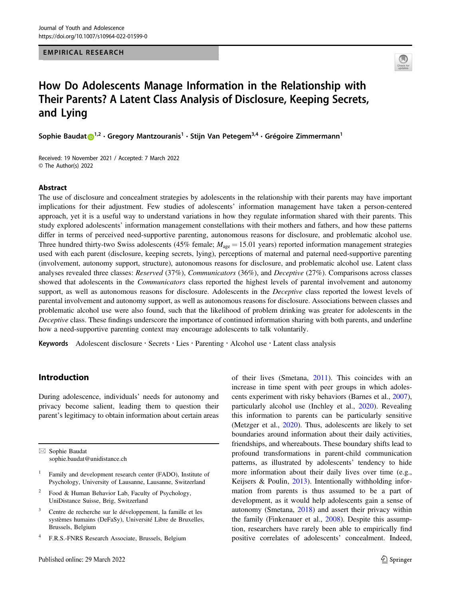#### EMPIRICAL RESEARCH



# How Do Adolescents Manage Information in the Relationship with Their Parents? A Latent Class Analysis of Disclosure, Keeping Secrets, and Lying

Sophie Baudat D<sup>[1](http://orcid.org/0000-0001-8240-3556),2</sup> • Gregory Mantzouranis<sup>1</sup> • Stijn Van Petegem<sup>3,4</sup> • Grégoire Zimmermann<sup>1</sup>

Received: 19 November 2021 / Accepted: 7 March 2022 © The Author(s) 2022

#### Abstract

The use of disclosure and concealment strategies by adolescents in the relationship with their parents may have important implications for their adjustment. Few studies of adolescents' information management have taken a person-centered approach, yet it is a useful way to understand variations in how they regulate information shared with their parents. This study explored adolescents' information management constellations with their mothers and fathers, and how these patterns differ in terms of perceived need-supportive parenting, autonomous reasons for disclosure, and problematic alcohol use. Three hundred thirty-two Swiss adolescents (45% female;  $M_{\text{age}} = 15.01$  years) reported information management strategies used with each parent (disclosure, keeping secrets, lying), perceptions of maternal and paternal need-supportive parenting (involvement, autonomy support, structure), autonomous reasons for disclosure, and problematic alcohol use. Latent class analyses revealed three classes: Reserved (37%), Communicators (36%), and Deceptive (27%). Comparisons across classes showed that adolescents in the *Communicators* class reported the highest levels of parental involvement and autonomy support, as well as autonomous reasons for disclosure. Adolescents in the *Deceptive* class reported the lowest levels of parental involvement and autonomy support, as well as autonomous reasons for disclosure. Associations between classes and problematic alcohol use were also found, such that the likelihood of problem drinking was greater for adolescents in the Deceptive class. These findings underscore the importance of continued information sharing with both parents, and underline how a need-supportive parenting context may encourage adolescents to talk voluntarily.

Keywords Adolescent disclosure · Secrets · Lies · Parenting · Alcohol use · Latent class analysis

# Introduction

During adolescence, individuals' needs for autonomy and privacy become salient, leading them to question their parent's legitimacy to obtain information about certain areas

 $\boxtimes$  Sophie Baudat [sophie.baudat@unidistance.ch](mailto:sophie.baudat@unidistance.ch)

- <sup>1</sup> Family and development research center (FADO), Institute of Psychology, University of Lausanne, Lausanne, Switzerland
- <sup>2</sup> Food & Human Behavior Lab, Faculty of Psychology, UniDistance Suisse, Brig, Switzerland
- <sup>3</sup> Centre de recherche sur le développement, la famille et les systèmes humains (DeFaSy), Université Libre de Bruxelles, Brussels, Belgium
- <sup>4</sup> F.R.S.-FNRS Research Associate, Brussels, Belgium

of their lives (Smetana, [2011\)](#page-17-0). This coincides with an increase in time spent with peer groups in which adolescents experiment with risky behaviors (Barnes et al., [2007\)](#page-14-0), particularly alcohol use (Inchley et al., [2020\)](#page-15-0). Revealing this information to parents can be particularly sensitive (Metzger et al., [2020](#page-16-0)). Thus, adolescents are likely to set boundaries around information about their daily activities, friendships, and whereabouts. These boundary shifts lead to profound transformations in parent-child communication patterns, as illustrated by adolescents' tendency to hide more information about their daily lives over time (e.g., Keijsers & Poulin, [2013](#page-16-0)). Intentionally withholding information from parents is thus assumed to be a part of development, as it would help adolescents gain a sense of autonomy (Smetana, [2018\)](#page-17-0) and assert their privacy within the family (Finkenauer et al., [2008\)](#page-15-0). Despite this assumption, researchers have rarely been able to empirically find positive correlates of adolescents' concealment. Indeed,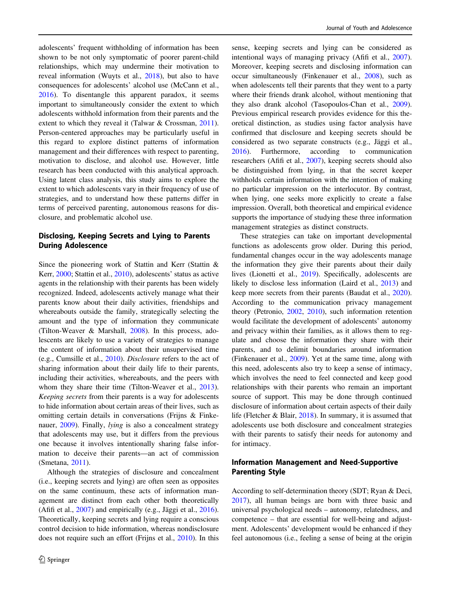adolescents' frequent withholding of information has been shown to be not only symptomatic of poorer parent-child relationships, which may undermine their motivation to reveal information (Wuyts et al., [2018](#page-18-0)), but also to have consequences for adolescents' alcohol use (McCann et al., [2016\)](#page-16-0). To disentangle this apparent paradox, it seems important to simultaneously consider the extent to which adolescents withhold information from their parents and the extent to which they reveal it (Talwar & Crossman, [2011](#page-17-0)). Person-centered approaches may be particularly useful in this regard to explore distinct patterns of information management and their differences with respect to parenting, motivation to disclose, and alcohol use. However, little research has been conducted with this analytical approach. Using latent class analysis, this study aims to explore the extent to which adolescents vary in their frequency of use of strategies, and to understand how these patterns differ in terms of perceived parenting, autonomous reasons for disclosure, and problematic alcohol use.

# Disclosing, Keeping Secrets and Lying to Parents During Adolescence

Since the pioneering work of Stattin and Kerr (Stattin & Kerr, [2000;](#page-17-0) Stattin et al., [2010\)](#page-17-0), adolescents' status as active agents in the relationship with their parents has been widely recognized. Indeed, adolescents actively manage what their parents know about their daily activities, friendships and whereabouts outside the family, strategically selecting the amount and the type of information they communicate (Tilton-Weaver & Marshall, [2008\)](#page-17-0). In this process, adolescents are likely to use a variety of strategies to manage the content of information about their unsupervised time (e.g., Cumsille et al., [2010](#page-15-0)). Disclosure refers to the act of sharing information about their daily life to their parents, including their activities, whereabouts, and the peers with whom they share their time (Tilton-Weaver et al., [2013](#page-18-0)). Keeping secrets from their parents is a way for adolescents to hide information about certain areas of their lives, such as omitting certain details in conversations (Frijns & Finke-nauer, [2009](#page-15-0)). Finally, *lying* is also a concealment strategy that adolescents may use, but it differs from the previous one because it involves intentionally sharing false information to deceive their parents—an act of commission (Smetana, [2011](#page-17-0)).

Although the strategies of disclosure and concealment (i.e., keeping secrets and lying) are often seen as opposites on the same continuum, these acts of information management are distinct from each other both theoretically (Afifi et al., [2007](#page-14-0)) and empirically (e.g., Jäggi et al., [2016](#page-15-0)). Theoretically, keeping secrets and lying require a conscious control decision to hide information, whereas nondisclosure does not require such an effort (Frijns et al., [2010](#page-15-0)). In this

sense, keeping secrets and lying can be considered as intentional ways of managing privacy (Afifi et al., [2007\)](#page-14-0). Moreover, keeping secrets and disclosing information can occur simultaneously (Finkenauer et al., [2008](#page-15-0)), such as when adolescents tell their parents that they went to a party where their friends drank alcohol, without mentioning that they also drank alcohol (Tasopoulos-Chan et al., [2009\)](#page-17-0). Previous empirical research provides evidence for this theoretical distinction, as studies using factor analysis have confirmed that disclosure and keeping secrets should be considered as two separate constructs (e.g., Jäggi et al., [2016](#page-15-0)). Furthermore, according to communication researchers (Afifi et al., [2007](#page-14-0)), keeping secrets should also be distinguished from lying, in that the secret keeper withholds certain information with the intention of making no particular impression on the interlocutor. By contrast, when lying, one seeks more explicitly to create a false impression. Overall, both theoretical and empirical evidence supports the importance of studying these three information management strategies as distinct constructs.

These strategies can take on important developmental functions as adolescents grow older. During this period, fundamental changes occur in the way adolescents manage the information they give their parents about their daily lives (Lionetti et al., [2019\)](#page-16-0). Specifically, adolescents are likely to disclose less information (Laird et al., [2013\)](#page-16-0) and keep more secrets from their parents (Baudat et al., [2020\)](#page-14-0). According to the communication privacy management theory (Petronio, [2002](#page-17-0), [2010\)](#page-17-0), such information retention would facilitate the development of adolescents' autonomy and privacy within their families, as it allows them to regulate and choose the information they share with their parents, and to delimit boundaries around information (Finkenauer et al., [2009\)](#page-15-0). Yet at the same time, along with this need, adolescents also try to keep a sense of intimacy, which involves the need to feel connected and keep good relationships with their parents who remain an important source of support. This may be done through continued disclosure of information about certain aspects of their daily life (Fletcher & Blair, [2018\)](#page-15-0). In summary, it is assumed that adolescents use both disclosure and concealment strategies with their parents to satisfy their needs for autonomy and for intimacy.

### Information Management and Need-Supportive Parenting Style

According to self-determination theory (SDT; Ryan & Deci, [2017](#page-17-0)), all human beings are born with three basic and universal psychological needs – autonomy, relatedness, and competence – that are essential for well-being and adjustment. Adolescents' development would be enhanced if they feel autonomous (i.e., feeling a sense of being at the origin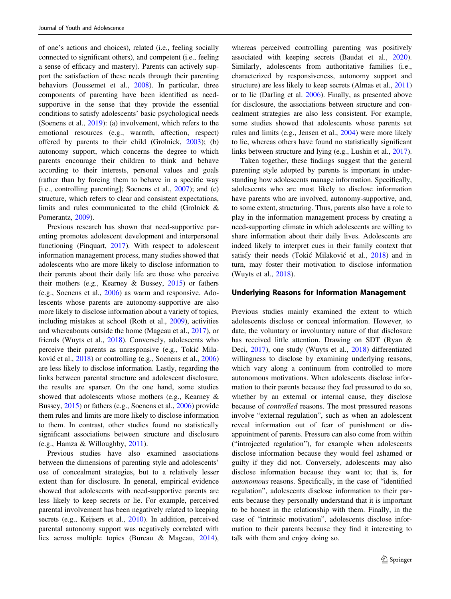of one's actions and choices), related (i.e., feeling socially connected to significant others), and competent (i.e., feeling a sense of efficacy and mastery). Parents can actively support the satisfaction of these needs through their parenting behaviors (Joussemet et al., [2008](#page-15-0)). In particular, three components of parenting have been identified as needsupportive in the sense that they provide the essential conditions to satisfy adolescents' basic psychological needs (Soenens et al., [2019\)](#page-17-0): (a) involvement, which refers to the emotional resources (e.g., warmth, affection, respect) offered by parents to their child (Grolnick, [2003\)](#page-15-0); (b) autonomy support, which concerns the degree to which parents encourage their children to think and behave according to their interests, personal values and goals (rather than by forcing them to behave in a specific way [i.e., controlling parenting]; Soenens et al., [2007](#page-17-0)); and (c) structure, which refers to clear and consistent expectations, limits and rules communicated to the child (Grolnick & Pomerantz, [2009](#page-15-0)).

Previous research has shown that need-supportive parenting promotes adolescent development and interpersonal functioning (Pinquart, [2017\)](#page-17-0). With respect to adolescent information management process, many studies showed that adolescents who are more likely to disclose information to their parents about their daily life are those who perceive their mothers (e.g., Kearney & Bussey,  $2015$ ) or fathers (e.g., Soenens et al., [2006\)](#page-17-0) as warm and responsive. Adolescents whose parents are autonomy-supportive are also more likely to disclose information about a variety of topics, including mistakes at school (Roth et al., [2009](#page-17-0)), activities and whereabouts outside the home (Mageau et al., [2017\)](#page-16-0), or friends (Wuyts et al., [2018\)](#page-18-0). Conversely, adolescents who perceive their parents as unresponsive (e.g., Tokić Milaković et al., [2018](#page-18-0)) or controlling (e.g., Soenens et al., [2006\)](#page-17-0) are less likely to disclose information. Lastly, regarding the links between parental structure and adolescent disclosure, the results are sparser. On the one hand, some studies showed that adolescents whose mothers (e.g., Kearney & Bussey, [2015\)](#page-16-0) or fathers (e.g., Soenens et al., [2006](#page-17-0)) provide them rules and limits are more likely to disclose information to them. In contrast, other studies found no statistically significant associations between structure and disclosure (e.g., Hamza & Willoughby, [2011\)](#page-15-0).

Previous studies have also examined associations between the dimensions of parenting style and adolescents' use of concealment strategies, but to a relatively lesser extent than for disclosure. In general, empirical evidence showed that adolescents with need-supportive parents are less likely to keep secrets or lie. For example, perceived parental involvement has been negatively related to keeping secrets (e.g., Keijsers et al., [2010\)](#page-16-0). In addition, perceived parental autonomy support was negatively correlated with lies across multiple topics (Bureau & Mageau, [2014](#page-15-0)),

whereas perceived controlling parenting was positively associated with keeping secrets (Baudat et al., [2020\)](#page-14-0). Similarly, adolescents from authoritative families (i.e., characterized by responsiveness, autonomy support and structure) are less likely to keep secrets (Almas et al., [2011](#page-14-0)) or to lie (Darling et al. [2006\)](#page-15-0). Finally, as presented above for disclosure, the associations between structure and concealment strategies are also less consistent. For example, some studies showed that adolescents whose parents set rules and limits (e.g., Jensen et al., [2004\)](#page-15-0) were more likely to lie, whereas others have found no statistically significant links between structure and lying (e.g., Lushin et al., [2017\)](#page-16-0).

Taken together, these findings suggest that the general parenting style adopted by parents is important in understanding how adolescents manage information. Specifically, adolescents who are most likely to disclose information have parents who are involved, autonomy-supportive, and, to some extent, structuring. Thus, parents also have a role to play in the information management process by creating a need-supporting climate in which adolescents are willing to share information about their daily lives. Adolescents are indeed likely to interpret cues in their family context that satisfy their needs (Tokić Milaković et al., [2018\)](#page-18-0) and in turn, may foster their motivation to disclose information (Wuyts et al., [2018](#page-18-0)).

#### Underlying Reasons for Information Management

Previous studies mainly examined the extent to which adolescents disclose or conceal information. However, to date, the voluntary or involuntary nature of that disclosure has received little attention. Drawing on SDT (Ryan & Deci, [2017](#page-17-0)), one study (Wuyts et al., [2018](#page-18-0)) differentiated willingness to disclose by examining underlying reasons, which vary along a continuum from controlled to more autonomous motivations. When adolescents disclose information to their parents because they feel pressured to do so, whether by an external or internal cause, they disclose because of controlled reasons. The most pressured reasons involve "external regulation", such as when an adolescent reveal information out of fear of punishment or disappointment of parents. Pressure can also come from within ("introjected regulation"), for example when adolescents disclose information because they would feel ashamed or guilty if they did not. Conversely, adolescents may also disclose information because they want to; that is, for autonomous reasons. Specifically, in the case of "identified regulation", adolescents disclose information to their parents because they personally understand that it is important to be honest in the relationship with them. Finally, in the case of "intrinsic motivation", adolescents disclose information to their parents because they find it interesting to talk with them and enjoy doing so.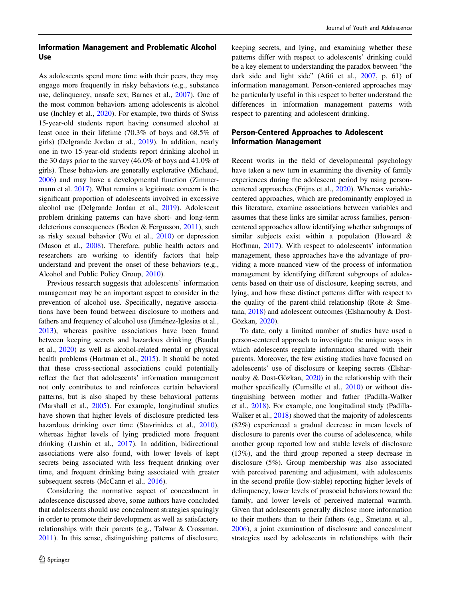### Information Management and Problematic Alcohol Use

As adolescents spend more time with their peers, they may engage more frequently in risky behaviors (e.g., substance use, delinquency, unsafe sex; Barnes et al., [2007](#page-14-0)). One of the most common behaviors among adolescents is alcohol use (Inchley et al., [2020\)](#page-15-0). For example, two thirds of Swiss 15-year-old students report having consumed alcohol at least once in their lifetime (70.3% of boys and 68.5% of girls) (Delgrande Jordan et al., [2019\)](#page-15-0). In addition, nearly one in two 15-year-old students report drinking alcohol in the 30 days prior to the survey (46.0% of boys and 41.0% of girls). These behaviors are generally explorative (Michaud, [2006\)](#page-16-0) and may have a developmental function (Zimmermann et al. [2017\)](#page-18-0). What remains a legitimate concern is the significant proportion of adolescents involved in excessive alcohol use (Delgrande Jordan et al., [2019\)](#page-15-0). Adolescent problem drinking patterns can have short- and long-term deleterious consequences (Boden & Fergusson, [2011](#page-15-0)), such as risky sexual behavior (Wu et al., [2010\)](#page-18-0) or depression (Mason et al., [2008\)](#page-16-0). Therefore, public health actors and researchers are working to identify factors that help understand and prevent the onset of these behaviors (e.g., Alcohol and Public Policy Group, [2010](#page-14-0)).

Previous research suggests that adolescents' information management may be an important aspect to consider in the prevention of alcohol use. Specifically, negative associations have been found between disclosure to mothers and fathers and frequency of alcohol use (Jiménez-Iglesias et al., [2013\)](#page-15-0), whereas positive associations have been found between keeping secrets and hazardous drinking (Baudat et al., [2020\)](#page-14-0) as well as alcohol-related mental or physical health problems (Hartman et al., [2015\)](#page-15-0). It should be noted that these cross-sectional associations could potentially reflect the fact that adolescents' information management not only contributes to and reinforces certain behavioral patterns, but is also shaped by these behavioral patterns (Marshall et al., [2005](#page-16-0)). For example, longitudinal studies have shown that higher levels of disclosure predicted less hazardous drinking over time (Stavrinides et al., [2010](#page-17-0)), whereas higher levels of lying predicted more frequent drinking (Lushin et al., [2017](#page-16-0)). In addition, bidirectional associations were also found, with lower levels of kept secrets being associated with less frequent drinking over time, and frequent drinking being associated with greater subsequent secrets (McCann et al., [2016\)](#page-16-0).

Considering the normative aspect of concealment in adolescence discussed above, some authors have concluded that adolescents should use concealment strategies sparingly in order to promote their development as well as satisfactory relationships with their parents (e.g., Talwar & Crossman, [2011\)](#page-17-0). In this sense, distinguishing patterns of disclosure,

keeping secrets, and lying, and examining whether these patterns differ with respect to adolescents' drinking could be a key element to understanding the paradox between "the dark side and light side" (Afifi et al., [2007](#page-14-0), p. 61) of information management. Person-centered approaches may be particularly useful in this respect to better understand the differences in information management patterns with respect to parenting and adolescent drinking.

# Person-Centered Approaches to Adolescent Information Management

Recent works in the field of developmental psychology have taken a new turn in examining the diversity of family experiences during the adolescent period by using personcentered approaches (Frijns et al., [2020](#page-15-0)). Whereas variablecentered approaches, which are predominantly employed in this literature, examine associations between variables and assumes that these links are similar across families, personcentered approaches allow identifying whether subgroups of similar subjects exist within a population (Howard & Hoffman, [2017](#page-15-0)). With respect to adolescents' information management, these approaches have the advantage of providing a more nuanced view of the process of information management by identifying different subgroups of adolescents based on their use of disclosure, keeping secrets, and lying, and how these distinct patterns differ with respect to the quality of the parent-child relationship (Rote & Smetana, [2018\)](#page-17-0) and adolescent outcomes (Elsharnouby & Dost-Gözkan, [2020\)](#page-15-0).

To date, only a limited number of studies have used a person-centered approach to investigate the unique ways in which adolescents regulate information shared with their parents. Moreover, the few existing studies have focused on adolescents' use of disclosure or keeping secrets (Elsharnouby & Dost-Gözkan, [2020](#page-15-0)) in the relationship with their mother specifically (Cumsille et al., [2010](#page-15-0)) or without distinguishing between mother and father (Padilla-Walker et al., [2018\)](#page-17-0). For example, one longitudinal study (Padilla-Walker et al., [2018\)](#page-17-0) showed that the majority of adolescents (82%) experienced a gradual decrease in mean levels of disclosure to parents over the course of adolescence, while another group reported low and stable levels of disclosure (13%), and the third group reported a steep decrease in disclosure (5%). Group membership was also associated with perceived parenting and adjustment, with adolescents in the second profile (low-stable) reporting higher levels of delinquency, lower levels of prosocial behaviors toward the family, and lower levels of perceived maternal warmth. Given that adolescents generally disclose more information to their mothers than to their fathers (e.g., Smetana et al., [2006](#page-17-0)), a joint examination of disclosure and concealment strategies used by adolescents in relationships with their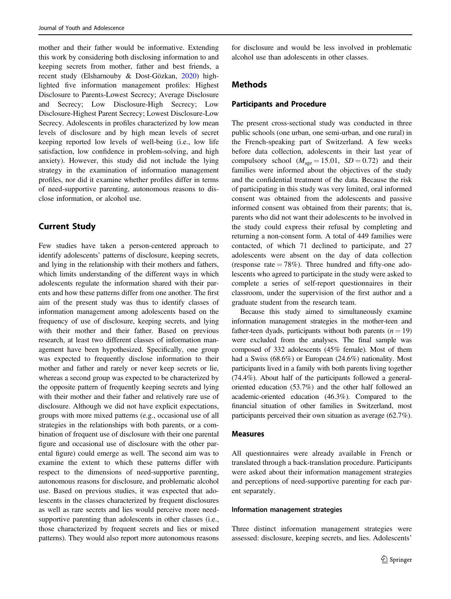mother and their father would be informative. Extending this work by considering both disclosing information to and keeping secrets from mother, father and best friends, a recent study (Elsharnouby & Dost-Gözkan, [2020\)](#page-15-0) highlighted five information management profiles: Highest Disclosure to Parents-Lowest Secrecy; Average Disclosure and Secrecy; Low Disclosure-High Secrecy; Low Disclosure-Highest Parent Secrecy; Lowest Disclosure-Low Secrecy. Adolescents in profiles characterized by low mean levels of disclosure and by high mean levels of secret keeping reported low levels of well-being (i.e., low life satisfaction, low confidence in problem-solving, and high anxiety). However, this study did not include the lying strategy in the examination of information management profiles, nor did it examine whether profiles differ in terms of need-supportive parenting, autonomous reasons to disclose information, or alcohol use.

# Current Study

Few studies have taken a person-centered approach to identify adolescents' patterns of disclosure, keeping secrets, and lying in the relationship with their mothers and fathers, which limits understanding of the different ways in which adolescents regulate the information shared with their parents and how these patterns differ from one another. The first aim of the present study was thus to identify classes of information management among adolescents based on the frequency of use of disclosure, keeping secrets, and lying with their mother and their father. Based on previous research, at least two different classes of information management have been hypothesized. Specifically, one group was expected to frequently disclose information to their mother and father and rarely or never keep secrets or lie, whereas a second group was expected to be characterized by the opposite pattern of frequently keeping secrets and lying with their mother and their father and relatively rare use of disclosure. Although we did not have explicit expectations, groups with more mixed patterns (e.g., occasional use of all strategies in the relationships with both parents, or a combination of frequent use of disclosure with their one parental figure and occasional use of disclosure with the other parental figure) could emerge as well. The second aim was to examine the extent to which these patterns differ with respect to the dimensions of need-supportive parenting, autonomous reasons for disclosure, and problematic alcohol use. Based on previous studies, it was expected that adolescents in the classes characterized by frequent disclosures as well as rare secrets and lies would perceive more needsupportive parenting than adolescents in other classes (i.e., those characterized by frequent secrets and lies or mixed patterns). They would also report more autonomous reasons

for disclosure and would be less involved in problematic alcohol use than adolescents in other classes.

# Methods

### Participants and Procedure

The present cross-sectional study was conducted in three public schools (one urban, one semi-urban, and one rural) in the French-speaking part of Switzerland. A few weeks before data collection, adolescents in their last year of compulsory school ( $M_{\text{age}} = 15.01$ ,  $SD = 0.72$ ) and their families were informed about the objectives of the study and the confidential treatment of the data. Because the risk of participating in this study was very limited, oral informed consent was obtained from the adolescents and passive informed consent was obtained from their parents; that is, parents who did not want their adolescents to be involved in the study could express their refusal by completing and returning a non-consent form. A total of 449 families were contacted, of which 71 declined to participate, and 27 adolescents were absent on the day of data collection (response rate  $= 78\%$ ). Three hundred and fifty-one adolescents who agreed to participate in the study were asked to complete a series of self-report questionnaires in their classroom, under the supervision of the first author and a graduate student from the research team.

Because this study aimed to simultaneously examine information management strategies in the mother-teen and father-teen dyads, participants without both parents  $(n = 19)$ were excluded from the analyses. The final sample was composed of 332 adolescents (45% female). Most of them had a Swiss (68.6%) or European (24.6%) nationality. Most participants lived in a family with both parents living together (74.4%). About half of the participants followed a generaloriented education (53.7%) and the other half followed an academic-oriented education (46.3%). Compared to the financial situation of other families in Switzerland, most participants perceived their own situation as average (62.7%).

#### Measures

All questionnaires were already available in French or translated through a back-translation procedure. Participants were asked about their information management strategies and perceptions of need-supportive parenting for each parent separately.

#### Information management strategies

Three distinct information management strategies were assessed: disclosure, keeping secrets, and lies. Adolescents'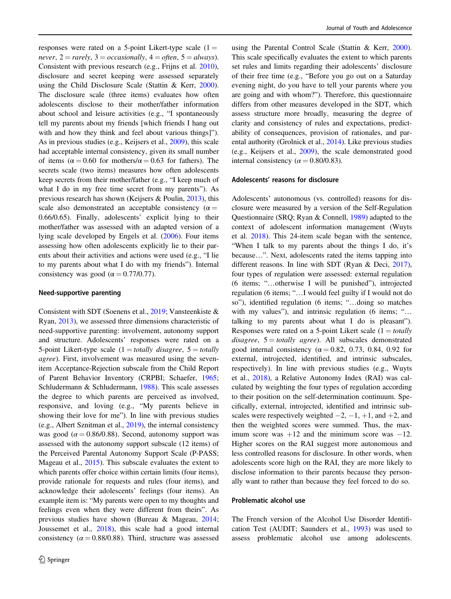responses were rated on a 5-point Likert-type scale  $(1 =$ never,  $2 = \text{rarely}, 3 = \text{occasionally}, 4 = \text{often}, 5 = \text{always}.$ Consistent with previous research (e.g., Frijns et al. [2010](#page-15-0)), disclosure and secret keeping were assessed separately using the Child Disclosure Scale (Stattin & Kerr, [2000](#page-17-0)). The disclosure scale (three items) evaluates how often adolescents disclose to their mother/father information about school and leisure activities (e.g., "I spontaneously tell my parents about my friends [which friends I hang out with and how they think and feel about various things]"). As in previous studies (e.g., Keijsers et al., [2009](#page-16-0)), this scale had acceptable internal consistency, given its small number of items ( $\alpha = 0.60$  for mothers/ $\alpha = 0.63$  for fathers). The secrets scale (two items) measures how often adolescents keep secrets from their mother/father (e.g., "I keep much of what I do in my free time secret from my parents"). As previous research has shown (Keijsers & Poulin, [2013\)](#page-16-0), this scale also demonstrated an acceptable consistency ( $\alpha$  = 0.66/0.65). Finally, adolescents' explicit lying to their mother/father was assessed with an adapted version of a lying scale developed by Engels et al. ([2006\)](#page-15-0). Four items assessing how often adolescents explicitly lie to their parents about their activities and actions were used (e.g., "I lie to my parents about what I do with my friends"). Internal consistency was good ( $\alpha = 0.77/0.77$ ).

#### Need-supportive parenting

Consistent with SDT (Soenens et al., [2019;](#page-17-0) Vansteenkiste & Ryan, [2013](#page-18-0)), we assessed three dimensions characteristic of need-supportive parenting: involvement, autonomy support and structure. Adolescents' responses were rated on a 5-point Likert-type scale  $(1 = totally \; disagree, \; 5 = totally$ agree). First, involvement was measured using the sevenitem Acceptance-Rejection subscale from the Child Report of Parent Behavior Inventory (CRPBI; Schaefer, [1965](#page-17-0); Schludermann & Schludermann, [1988\)](#page-17-0). This scale assesses the degree to which parents are perceived as involved, responsive, and loving (e.g., "My parents believe in showing their love for me"). In line with previous studies (e.g., Albert Sznitman et al., [2019\)](#page-14-0), the internal consistency was good ( $\alpha = 0.86/0.88$ ). Second, autonomy support was assessed with the autonomy support subscale (12 items) of the Perceived Parental Autonomy Support Scale (P-PASS; Mageau et al., [2015\)](#page-16-0). This subscale evaluates the extent to which parents offer choice within certain limits (four items), provide rationale for requests and rules (four items), and acknowledge their adolescents' feelings (four items). An example item is: "My parents were open to my thoughts and feelings even when they were different from theirs". As previous studies have shown (Bureau & Mageau, [2014](#page-15-0); Joussemet et al., [2018](#page-16-0)), this scale had a good internal consistency ( $\alpha = 0.88/0.88$ ). Third, structure was assessed

using the Parental Control Scale (Stattin & Kerr, [2000\)](#page-17-0). This scale specifically evaluates the extent to which parents set rules and limits regarding their adolescents' disclosure of their free time (e.g., "Before you go out on a Saturday evening night, do you have to tell your parents where you are going and with whom?"). Therefore, this questionnaire differs from other measures developed in the SDT, which assess structure more broadly, measuring the degree of clarity and consistency of rules and expectations, predictability of consequences, provision of rationales, and parental authority (Grolnick et al., [2014](#page-15-0)). Like previous studies (e.g., Keijsers et al., [2009\)](#page-16-0), the scale demonstrated good internal consistency ( $\alpha = 0.80/0.83$ ).

#### Adolescents' reasons for disclosure

Adolescents' autonomous (vs. controlled) reasons for disclosure were measured by a version of the Self-Regulation Questionnaire (SRQ; Ryan & Connell, [1989\)](#page-17-0) adapted to the context of adolescent information management (Wuyts et al. [2018](#page-18-0)). This 24-item scale began with the sentence, "When I talk to my parents about the things I do, it's because…". Next, adolescents rated the items tapping into different reasons. In line with SDT (Ryan & Deci, [2017\)](#page-17-0), four types of regulation were assessed: external regulation (6 items; "…otherwise I will be punished"), introjected regulation (6 items; "…I would feel guilty if I would not do so"), identified regulation (6 items; "…doing so matches with my values"), and intrinsic regulation (6 items; "... talking to my parents about what I do is pleasant"). Responses were rated on a 5-point Likert scale  $(1 = totally)$ disagree,  $5 = totally$  agree). All subscales demonstrated good internal consistency ( $\alpha = 0.82$ , 0.73, 0.84, 0.92 for external, introjected, identified, and intrinsic subscales, respectively). In line with previous studies (e.g., Wuyts et al., [2018\)](#page-18-0), a Relative Autonomy Index (RAI) was calculated by weighting the four types of regulation according to their position on the self-determination continuum. Specifically, external, introjected, identified and intrinsic subscales were respectively weighted  $-2$ ,  $-1$ ,  $+1$ , and  $+2$ , and then the weighted scores were summed. Thus, the maximum score was  $+12$  and the minimum score was  $-12$ . Higher scores on the RAI suggest more autonomous and less controlled reasons for disclosure. In other words, when adolescents score high on the RAI, they are more likely to disclose information to their parents because they personally want to rather than because they feel forced to do so.

#### Problematic alcohol use

The French version of the Alcohol Use Disorder Identification Test (AUDIT; Saunders et al., [1993](#page-17-0)) was used to assess problematic alcohol use among adolescents.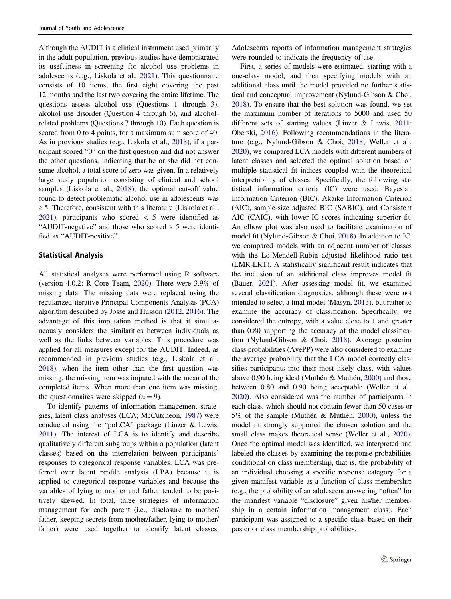Although the AUDIT is a clinical instrument used primarily in the adult population, previous studies have demonstrated its usefulness in screening for alcohol use problems in adolescents (e.g., Liskola et al., [2021\)](#page-16-0). This questionnaire consists of 10 items, the first eight covering the past 12 months and the last two covering the entire lifetime. The questions assess alcohol use (Questions 1 through 3), alcohol use disorder (Question 4 through 6), and alcoholrelated problems (Questions 7 through 10). Each question is scored from 0 to 4 points, for a maximum sum score of 40. As in previous studies (e.g., Liskola et al., [2018](#page-16-0)), if a participant scored "0" on the first question and did not answer the other questions, indicating that he or she did not consume alcohol, a total score of zero was given. In a relatively large study population consisting of clinical and school samples (Liskola et al., [2018\)](#page-16-0), the optimal cut-off value found to detect problematic alcohol use in adolescents was  $\geq$  5. Therefore, consistent with this literature (Liskola et al.,  $2021$ ), participants who scored  $\lt$  5 were identified as "AUDIT-negative" and those who scored  $\geq$  5 were identified as "AUDIT-positive".

#### Statistical Analysis

All statistical analyses were performed using R software (version 4.0.2; R Core Team, [2020\)](#page-17-0). There were 3.9% of missing data. The missing data were replaced using the regularized iterative Principal Components Analysis (PCA) algorithm described by Josse and Husson ([2012,](#page-15-0) [2016](#page-15-0)). The advantage of this imputation method is that it simultaneously considers the similarities between individuals as well as the links between variables. This procedure was applied for all measures except for the AUDIT. Indeed, as recommended in previous studies (e.g., Liskola et al., [2018\)](#page-16-0), when the item other than the first question was missing, the missing item was imputed with the mean of the completed items. When more than one item was missing, the questionnaires were skipped  $(n = 9)$ .

To identify patterns of information management strategies, latent class analyses (LCA; McCutcheon, [1987](#page-16-0)) were conducted using the "poLCA" package (Linzer & Lewis, [2011\)](#page-16-0). The interest of LCA is to identify and describe qualitatively different subgroups within a population (latent classes) based on the interrelation between participants' responses to categorical response variables. LCA was preferred over latent profile analysis (LPA) because it is applied to categorical response variables and because the variables of lying to mother and father tended to be positively skewed. In total, three strategies of information management for each parent (i.e., disclosure to mother/ father, keeping secrets from mother/father, lying to mother/ father) were used together to identify latent classes.

Adolescents reports of information management strategies were rounded to indicate the frequency of use.

First, a series of models were estimated, starting with a one-class model, and then specifying models with an additional class until the model provided no further statistical and conceptual improvement (Nylund-Gibson & Choi, [2018](#page-16-0)). To ensure that the best solution was found, we set the maximum number of iterations to 5000 and used 50 different sets of starting values (Linzer & Lewis, [2011;](#page-16-0) Oberski, [2016\)](#page-16-0). Following recommendations in the literature (e.g., Nylund-Gibson & Choi, [2018;](#page-16-0) Weller et al., [2020](#page-18-0)), we compared LCA models with different numbers of latent classes and selected the optimal solution based on multiple statistical fit indices coupled with the theoretical interpretability of classes. Specifically, the following statistical information criteria (IC) were used: Bayesian Information Criterion (BIC), Akaike Information Criterion (AIC), sample-size adjusted BIC (SABIC), and Consistent AIC (CAIC), with lower IC scores indicating superior fit. An elbow plot was also used to facilitate examination of model fit (Nylund-Gibson & Choi, [2018](#page-16-0)). In addition to IC, we compared models with an adjacent number of classes with the Lo-Mendell-Rubin adjusted likelihood ratio test (LMR-LRT). A statistically significant result indicates that the inclusion of an additional class improves model fit (Bauer, [2021](#page-15-0)). After assessing model fit, we examined several classification diagnostics, although these were not intended to select a final model (Masyn, [2013\)](#page-16-0), but rather to examine the accuracy of classification. Specifically, we considered the entropy, with a value close to 1 and greater than 0.80 supporting the accuracy of the model classification (Nylund-Gibson & Choi, [2018\)](#page-16-0). Average posterior class probabilities (AvePP) were also considered to examine the average probability that the LCA model correctly classifies participants into their most likely class, with values above 0.90 being ideal (Muthén & Muthén, [2000\)](#page-16-0) and those between 0.80 and 0.90 being acceptable (Weller et al., [2020](#page-18-0)). Also considered was the number of participants in each class, which should not contain fewer than 50 cases or 5% of the sample (Muthén & Muthén, [2000](#page-16-0)), unless the model fit strongly supported the chosen solution and the small class makes theoretical sense (Weller et al., [2020\)](#page-18-0). Once the optimal model was identified, we interpreted and labeled the classes by examining the response probabilities conditional on class membership, that is, the probability of an individual choosing a specific response category for a given manifest variable as a function of class membership (e.g., the probability of an adolescent answering "often" for the manifest variable "disclosure" given his/her membership in a certain information management class). Each participant was assigned to a specific class based on their posterior class membership probabilities.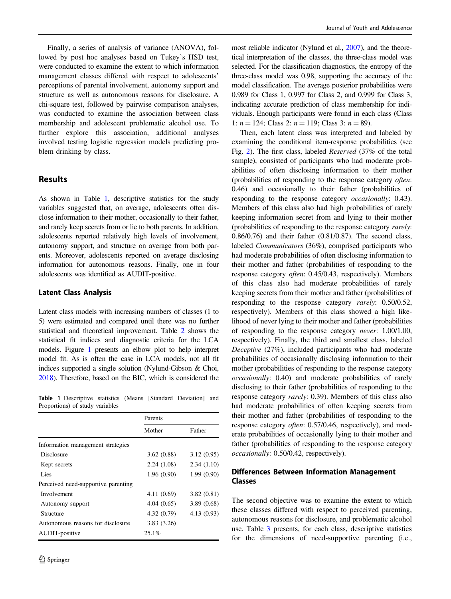Finally, a series of analysis of variance (ANOVA), followed by post hoc analyses based on Tukey's HSD test, were conducted to examine the extent to which information management classes differed with respect to adolescents' perceptions of parental involvement, autonomy support and structure as well as autonomous reasons for disclosure. A chi-square test, followed by pairwise comparison analyses, was conducted to examine the association between class membership and adolescent problematic alcohol use. To further explore this association, additional analyses involved testing logistic regression models predicting problem drinking by class.

# **Results**

As shown in Table 1, descriptive statistics for the study variables suggested that, on average, adolescents often disclose information to their mother, occasionally to their father, and rarely keep secrets from or lie to both parents. In addition, adolescents reported relatively high levels of involvement, autonomy support, and structure on average from both parents. Moreover, adolescents reported on average disclosing information for autonomous reasons. Finally, one in four adolescents was identified as AUDIT-positive.

### Latent Class Analysis

Latent class models with increasing numbers of classes (1 to 5) were estimated and compared until there was no further statistical and theoretical improvement. Table [2](#page-8-0) shows the statistical fit indices and diagnostic criteria for the LCA models. Figure [1](#page-8-0) presents an elbow plot to help interpret model fit. As is often the case in LCA models, not all fit indices supported a single solution (Nylund-Gibson & Choi, [2018](#page-16-0)). Therefore, based on the BIC, which is considered the

Table 1 Descriptive statistics (Means [Standard Deviation] and Proportions) of study variables

|                                     | Parents    |            |  |  |
|-------------------------------------|------------|------------|--|--|
|                                     | Mother     | Father     |  |  |
| Information management strategies   |            |            |  |  |
| Disclosure                          | 3.62(0.88) | 3.12(0.95) |  |  |
| Kept secrets                        | 2.24(1.08) | 2.34(1.10) |  |  |
| Lies                                | 1.96(0.90) | 1.99(0.90) |  |  |
| Perceived need-supportive parenting |            |            |  |  |
| Involvement                         | 4.11(0.69) | 3.82(0.81) |  |  |
| Autonomy support                    | 4.04(0.65) | 3.89(0.68) |  |  |
| Structure                           | 4.32(0.79) | 4.13(0.93) |  |  |
| Autonomous reasons for disclosure   | 3.83(3.26) |            |  |  |
| AUDIT-positive                      | $25.1\%$   |            |  |  |

most reliable indicator (Nylund et al., [2007](#page-16-0)), and the theoretical interpretation of the classes, the three-class model was selected. For the classification diagnostics, the entropy of the three-class model was 0.98, supporting the accuracy of the model classification. The average posterior probabilities were 0.989 for Class 1, 0.997 for Class 2, and 0.999 for Class 3, indicating accurate prediction of class membership for individuals. Enough participants were found in each class (Class 1:  $n = 124$ ; Class 2:  $n = 119$ ; Class 3:  $n = 89$ ).

Then, each latent class was interpreted and labeled by examining the conditional item-response probabilities (see Fig. [2](#page-9-0)). The first class, labeled Reserved (37% of the total sample), consisted of participants who had moderate probabilities of often disclosing information to their mother (probabilities of responding to the response category often: 0.46) and occasionally to their father (probabilities of responding to the response category *occasionally*: 0.43). Members of this class also had high probabilities of rarely keeping information secret from and lying to their mother (probabilities of responding to the response category rarely: 0.86/0.76) and their father (0.81/0.87). The second class, labeled Communicators (36%), comprised participants who had moderate probabilities of often disclosing information to their mother and father (probabilities of responding to the response category often: 0.45/0.43, respectively). Members of this class also had moderate probabilities of rarely keeping secrets from their mother and father (probabilities of responding to the response category rarely: 0.50/0.52, respectively). Members of this class showed a high likelihood of never lying to their mother and father (probabilities of responding to the response category never: 1.00/1.00, respectively). Finally, the third and smallest class, labeled Deceptive (27%), included participants who had moderate probabilities of occasionally disclosing information to their mother (probabilities of responding to the response category occasionally: 0.40) and moderate probabilities of rarely disclosing to their father (probabilities of responding to the response category rarely: 0.39). Members of this class also had moderate probabilities of often keeping secrets from their mother and father (probabilities of responding to the response category often: 0.57/0.46, respectively), and moderate probabilities of occasionally lying to their mother and father (probabilities of responding to the response category occasionally: 0.50/0.42, respectively).

### Differences Between Information Management Classes

The second objective was to examine the extent to which these classes differed with respect to perceived parenting, autonomous reasons for disclosure, and problematic alcohol use. Table [3](#page-9-0) presents, for each class, descriptive statistics for the dimensions of need-supportive parenting (i.e.,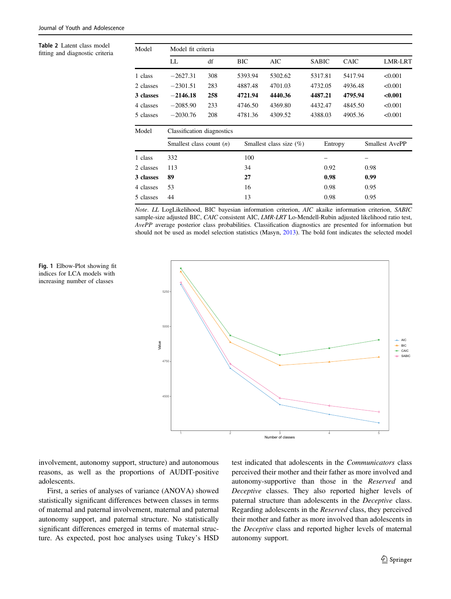<span id="page-8-0"></span>Table 2 Latent class model fitting and diagnostic criteria

| Model     | Model fit criteria         |     |                            |         |              |             |                       |                |  |
|-----------|----------------------------|-----|----------------------------|---------|--------------|-------------|-----------------------|----------------|--|
|           | LL                         | df  | BIC                        | AIC     | <b>SABIC</b> | <b>CAIC</b> |                       | <b>LMR-LRT</b> |  |
| 1 class   | $-2627.31$                 | 308 | 5393.94                    | 5302.62 | 5317.81      | 5417.94     |                       | < 0.001        |  |
| 2 classes | $-2301.51$                 | 283 | 4887.48                    | 4701.03 | 4732.05      | 4936.48     |                       | < 0.001        |  |
| 3 classes | $-2146.18$                 | 258 | 4721.94                    | 4440.36 | 4487.21      | 4795.94     |                       | < 0.001        |  |
| 4 classes | $-2085.90$                 | 233 | 4746.50                    | 4369.80 | 4432.47      | 4845.50     |                       | < 0.001        |  |
| 5 classes | $-2030.76$                 | 208 | 4781.36                    | 4309.52 | 4388.03      | 4905.36     |                       | < 0.001        |  |
| Model     | Classification diagnostics |     |                            |         |              |             |                       |                |  |
|           | Smallest class count $(n)$ |     | Smallest class size $(\%)$ |         | Entropy      |             | <b>Smallest AvePP</b> |                |  |
| 1 class   | 332                        |     | 100                        |         |              |             |                       |                |  |
| 2 classes | 113                        |     | 34                         |         | 0.92         |             | 0.98                  |                |  |
| 3 classes | 89                         |     | 27                         |         | 0.98         |             | 0.99                  |                |  |
| 4 classes | 53                         |     | 16                         |         | 0.98         |             | 0.95                  |                |  |
| 5 classes | 44                         |     | 13                         |         | 0.98         |             | 0.95                  |                |  |

Note. LL LogLikelihood, BIC bayesian information criterion, AIC akaike information criterion, SABIC sample-size adjusted BIC, CAIC consistent AIC, LMR-LRT Lo-Mendell-Rubin adjusted likelihood ratio test, AvePP average posterior class probabilities. Classification diagnostics are presented for information but should not be used as model selection statistics (Masyn, [2013\)](#page-16-0). The bold font indicates the selected model

Fig. 1 Elbow-Plot showing fit indices for LCA models with increasing number of classes



involvement, autonomy support, structure) and autonomous reasons, as well as the proportions of AUDIT-positive adolescents.

First, a series of analyses of variance (ANOVA) showed statistically significant differences between classes in terms of maternal and paternal involvement, maternal and paternal autonomy support, and paternal structure. No statistically significant differences emerged in terms of maternal structure. As expected, post hoc analyses using Tukey's HSD test indicated that adolescents in the Communicators class perceived their mother and their father as more involved and autonomy-supportive than those in the Reserved and Deceptive classes. They also reported higher levels of paternal structure than adolescents in the Deceptive class. Regarding adolescents in the Reserved class, they perceived their mother and father as more involved than adolescents in the Deceptive class and reported higher levels of maternal autonomy support.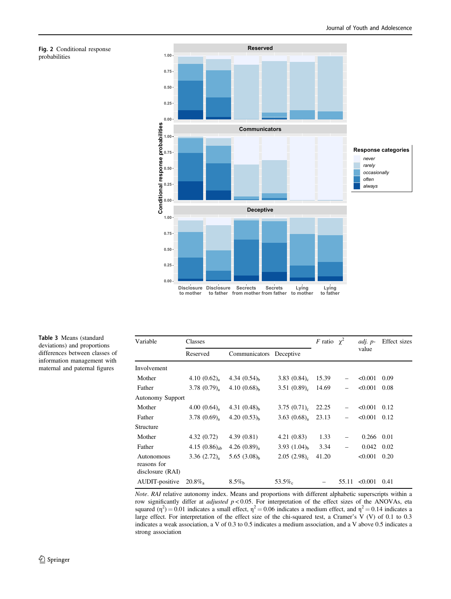

Table 3 Means (standard deviations) and proportions differences between classes of information management with maternal and paternal figures

<span id="page-9-0"></span>Fig. 2 Conditional response

probabilities

| Variable                                      | Classes               |                         |                           |       | <i>F</i> ratio $\chi^2$ | $adj. p-$          | Effect sizes |
|-----------------------------------------------|-----------------------|-------------------------|---------------------------|-------|-------------------------|--------------------|--------------|
|                                               | Reserved              | Communicators Deceptive |                           |       |                         | value              |              |
| Involvement                                   |                       |                         |                           |       |                         |                    |              |
| Mother                                        | 4.10 $(0.62)_{\rm a}$ | 4.34 $(0.54)_{h}$       | 3.83(0.84)                | 15.39 |                         | < 0.001            | 0.09         |
| Father                                        | 3.78 $(0.79)_{a}$     | 4.10 $(0.68)_{h}$       | 3.51 $(0.89)_{c}$         | 14.69 |                         | < 0.001            | 0.08         |
| <b>Autonomy Support</b>                       |                       |                         |                           |       |                         |                    |              |
| Mother                                        | 4.00(0.64)            | 4.31 $(0.48)_{h}$       | $3.75(0.71)$ <sub>c</sub> | 22.25 |                         | < 0.001            | 0.12         |
| Father                                        | 3.78(0.69)            | 4.20 $(0.53)_{h}$       | 3.63(0.68)                | 23.13 |                         | < 0.001            | 0.12         |
| Structure                                     |                       |                         |                           |       |                         |                    |              |
| Mother                                        | 4.32(0.72)            | 4.39(0.81)              | 4.21(0.83)                | 1.33  |                         | 0.266              | 0.01         |
| Father                                        | 4.15 $(0.86)_{ab}$    | 4.26 $(0.89)_{a}$       | 3.93 $(1.04)_{h}$         | 3.34  |                         | $0.042 \quad 0.02$ |              |
| Autonomous<br>reasons for<br>disclosure (RAI) | $3.36(2.72)_{\rm a}$  | 5.65 $(3.08)_{h}$       | $2.05(2.98)_{c}$          | 41.20 |                         | < 0.001            | 0.20         |
| AUDIT-positive                                | $20.8\%$              | $8.5\%$                 | $53.5\%$                  |       | 55.11                   | < 0.001            | 0.41         |

Note. RAI relative autonomy index. Means and proportions with different alphabetic superscripts within a row significantly differ at adjusted p < 0.05. For interpretation of the effect sizes of the ANOVAs, eta squared ( $\eta^2$ ) = 0.01 indicates a small effect,  $\eta^2$  = 0.06 indicates a medium effect, and  $\eta^2$  = 0.14 indicates a large effect. For interpretation of the effect size of the chi-squared test, a Cramer's V (V) of 0.1 to 0.3 indicates a weak association, a V of 0.3 to 0.5 indicates a medium association, and a V above 0.5 indicates a strong association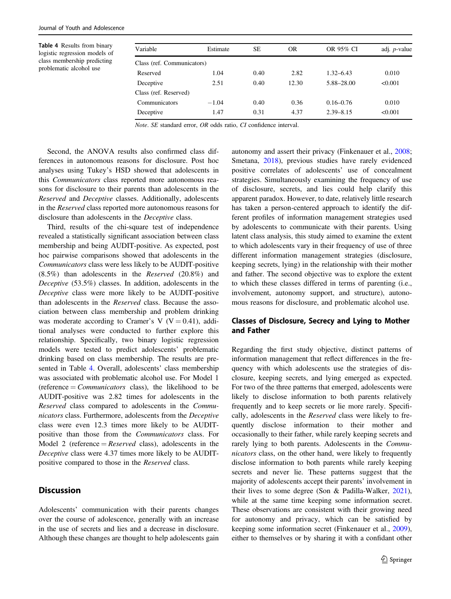Table 4 Results from binary logistic regression models of class membership predicting problematic alcohol use

| Variable                   | Estimate | SЕ   | OR    | OR 95% CI     | adj. <i>p</i> -value |
|----------------------------|----------|------|-------|---------------|----------------------|
| Class (ref. Communicators) |          |      |       |               |                      |
| Reserved                   | 1.04     | 0.40 | 2.82  | $1.32 - 6.43$ | 0.010                |
| Deceptive                  | 2.51     | 0.40 | 12.30 | 5.88-28.00    | < 0.001              |
| Class (ref. Reserved)      |          |      |       |               |                      |
| Communicators              | $-1.04$  | 0.40 | 0.36  | $0.16 - 0.76$ | 0.010                |
| Deceptive                  | 1.47     | 0.31 | 4.37  | $2.39 - 8.15$ | < 0.001              |

Note. SE standard error, OR odds ratio, CI confidence interval.

Second, the ANOVA results also confirmed class differences in autonomous reasons for disclosure. Post hoc analyses using Tukey's HSD showed that adolescents in this Communicators class reported more autonomous reasons for disclosure to their parents than adolescents in the Reserved and Deceptive classes. Additionally, adolescents in the Reserved class reported more autonomous reasons for disclosure than adolescents in the Deceptive class.

Third, results of the chi-square test of independence revealed a statistically significant association between class membership and being AUDIT-positive. As expected, post hoc pairwise comparisons showed that adolescents in the Communicators class were less likely to be AUDIT-positive (8.5%) than adolescents in the Reserved (20.8%) and Deceptive (53.5%) classes. In addition, adolescents in the Deceptive class were more likely to be AUDIT-positive than adolescents in the Reserved class. Because the association between class membership and problem drinking was moderate according to Cramer's V ( $V = 0.41$ ), additional analyses were conducted to further explore this relationship. Specifically, two binary logistic regression models were tested to predict adolescents' problematic drinking based on class membership. The results are presented in Table 4. Overall, adolescents' class membership was associated with problematic alcohol use. For Model 1 (reference  $=$  *Communicators* class), the likelihood to be AUDIT-positive was 2.82 times for adolescents in the Reserved class compared to adolescents in the Communicators class. Furthermore, adolescents from the Deceptive class were even 12.3 times more likely to be AUDITpositive than those from the Communicators class. For Model 2 (reference  $=$  *Reserved* class), adolescents in the Deceptive class were 4.37 times more likely to be AUDITpositive compared to those in the Reserved class.

### **Discussion**

Adolescents' communication with their parents changes over the course of adolescence, generally with an increase in the use of secrets and lies and a decrease in disclosure. Although these changes are thought to help adolescents gain autonomy and assert their privacy (Finkenauer et al., [2008;](#page-15-0) Smetana, [2018](#page-17-0)), previous studies have rarely evidenced positive correlates of adolescents' use of concealment strategies. Simultaneously examining the frequency of use of disclosure, secrets, and lies could help clarify this apparent paradox. However, to date, relatively little research has taken a person-centered approach to identify the different profiles of information management strategies used by adolescents to communicate with their parents. Using latent class analysis, this study aimed to examine the extent to which adolescents vary in their frequency of use of three different information management strategies (disclosure, keeping secrets, lying) in the relationship with their mother and father. The second objective was to explore the extent to which these classes differed in terms of parenting (i.e., involvement, autonomy support, and structure), autonomous reasons for disclosure, and problematic alcohol use.

### Classes of Disclosure, Secrecy and Lying to Mother and Father

Regarding the first study objective, distinct patterns of information management that reflect differences in the frequency with which adolescents use the strategies of disclosure, keeping secrets, and lying emerged as expected. For two of the three patterns that emerged, adolescents were likely to disclose information to both parents relatively frequently and to keep secrets or lie more rarely. Specifically, adolescents in the Reserved class were likely to frequently disclose information to their mother and occasionally to their father, while rarely keeping secrets and rarely lying to both parents. Adolescents in the Communicators class, on the other hand, were likely to frequently disclose information to both parents while rarely keeping secrets and never lie. These patterns suggest that the majority of adolescents accept their parents' involvement in their lives to some degree (Son & Padilla-Walker, [2021\)](#page-17-0), while at the same time keeping some information secret. These observations are consistent with their growing need for autonomy and privacy, which can be satisfied by keeping some information secret (Finkenauer et al., [2009\)](#page-15-0), either to themselves or by sharing it with a confidant other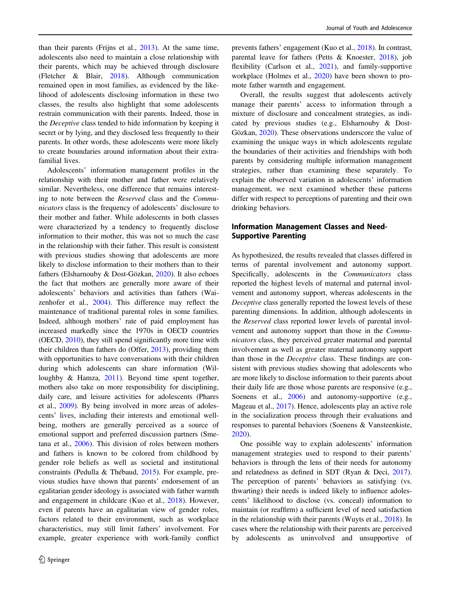than their parents (Frijns et al.,  $2013$ ). At the same time, adolescents also need to maintain a close relationship with their parents, which may be achieved through disclosure (Fletcher & Blair, [2018](#page-15-0)). Although communication remained open in most families, as evidenced by the likelihood of adolescents disclosing information in these two classes, the results also highlight that some adolescents restrain communication with their parents. Indeed, those in the Deceptive class tended to hide information by keeping it secret or by lying, and they disclosed less frequently to their parents. In other words, these adolescents were more likely to create boundaries around information about their extrafamilial lives.

Adolescents' information management profiles in the relationship with their mother and father were relatively similar. Nevertheless, one difference that remains interesting to note between the Reserved class and the Communicators class is the frequency of adolescents' disclosure to their mother and father. While adolescents in both classes were characterized by a tendency to frequently disclose information to their mother, this was not so much the case in the relationship with their father. This result is consistent with previous studies showing that adolescents are more likely to disclose information to their mothers than to their fathers (Elsharnouby & Dost-Gözkan, [2020\)](#page-15-0). It also echoes the fact that mothers are generally more aware of their adolescents' behaviors and activities than fathers (Waizenhofer et al., [2004\)](#page-18-0). This difference may reflect the maintenance of traditional parental roles in some families. Indeed, although mothers' rate of paid employment has increased markedly since the 1970s in OECD countries (OECD, [2010](#page-16-0)), they still spend significantly more time with their children than fathers do (Offer, [2013](#page-16-0)), providing them with opportunities to have conversations with their children during which adolescents can share information (Wil-loughby & Hamza, [2011\)](#page-18-0). Beyond time spent together, mothers also take on more responsibility for disciplining, daily care, and leisure activities for adolescents (Phares et al., [2009](#page-17-0)). By being involved in more areas of adolescents' lives, including their interests and emotional wellbeing, mothers are generally perceived as a source of emotional support and preferred discussion partners (Smetana et al., [2006](#page-17-0)). This division of roles between mothers and fathers is known to be colored from childhood by gender role beliefs as well as societal and institutional constraints (Pedulla & Thébaud, [2015\)](#page-17-0). For example, previous studies have shown that parents' endorsement of an egalitarian gender ideology is associated with father warmth and engagement in childcare (Kuo et al., [2018](#page-16-0)). However, even if parents have an egalitarian view of gender roles, factors related to their environment, such as workplace characteristics, may still limit fathers' involvement. For example, greater experience with work-family conflict

prevents fathers' engagement (Kuo et al., [2018\)](#page-16-0). In contrast, parental leave for fathers (Petts & Knoester, [2018\)](#page-17-0), job flexibility (Carlson et al., [2021\)](#page-15-0), and family-supportive workplace (Holmes et al., [2020](#page-15-0)) have been shown to promote father warmth and engagement.

Overall, the results suggest that adolescents actively manage their parents' access to information through a mixture of disclosure and concealment strategies, as indicated by previous studies (e.g., Elsharnouby & Dost-Gözkan, [2020](#page-15-0)). These observations underscore the value of examining the unique ways in which adolescents regulate the boundaries of their activities and friendships with both parents by considering multiple information management strategies, rather than examining these separately. To explain the observed variation in adolescents' information management, we next examined whether these patterns differ with respect to perceptions of parenting and their own drinking behaviors.

# Information Management Classes and Need-Supportive Parenting

As hypothesized, the results revealed that classes differed in terms of parental involvement and autonomy support. Specifically, adolescents in the Communicators class reported the highest levels of maternal and paternal involvement and autonomy support, whereas adolescents in the Deceptive class generally reported the lowest levels of these parenting dimensions. In addition, although adolescents in the Reserved class reported lower levels of parental involvement and autonomy support than those in the Communicators class, they perceived greater maternal and parental involvement as well as greater maternal autonomy support than those in the Deceptive class. These findings are consistent with previous studies showing that adolescents who are more likely to disclose information to their parents about their daily life are those whose parents are responsive (e.g., Soenens et al., [2006](#page-17-0)) and autonomy-supportive (e.g., Mageau et al., [2017\)](#page-16-0). Hence, adolescents play an active role in the socialization process through their evaluations and responses to parental behaviors (Soenens & Vansteenkiste, [2020](#page-17-0)).

One possible way to explain adolescents' information management strategies used to respond to their parents' behaviors is through the lens of their needs for autonomy and relatedness as defined in SDT (Ryan & Deci, [2017\)](#page-17-0). The perception of parents' behaviors as satisfying (vs. thwarting) their needs is indeed likely to influence adolescents' likelihood to disclose (vs. conceal) information to maintain (or reaffirm) a sufficient level of need satisfaction in the relationship with their parents (Wuyts et al., [2018\)](#page-18-0). In cases where the relationship with their parents are perceived by adolescents as uninvolved and unsupportive of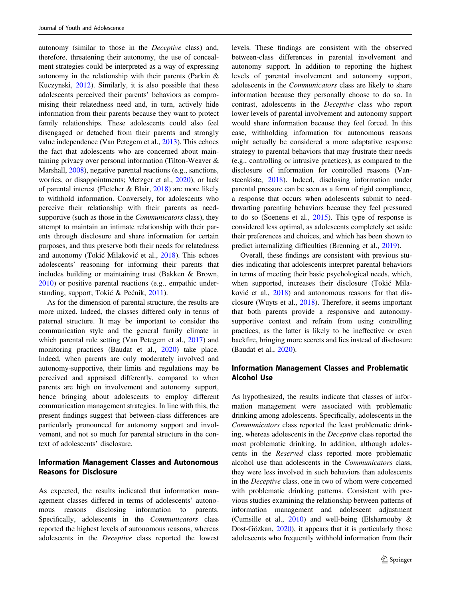autonomy (similar to those in the Deceptive class) and, therefore, threatening their autonomy, the use of concealment strategies could be interpreted as a way of expressing autonomy in the relationship with their parents (Parkin & Kuczynski, [2012](#page-17-0)). Similarly, it is also possible that these adolescents perceived their parents' behaviors as compromising their relatedness need and, in turn, actively hide information from their parents because they want to protect family relationships. These adolescents could also feel disengaged or detached from their parents and strongly value independence (Van Petegem et al., [2013](#page-18-0)). This echoes the fact that adolescents who are concerned about maintaining privacy over personal information (Tilton-Weaver & Marshall, [2008](#page-17-0)), negative parental reactions (e.g., sanctions, worries, or disappointments; Metzger et al., [2020\)](#page-16-0), or lack of parental interest (Fletcher & Blair, [2018\)](#page-15-0) are more likely to withhold information. Conversely, for adolescents who perceive their relationship with their parents as needsupportive (such as those in the *Communicators* class), they attempt to maintain an intimate relationship with their parents through disclosure and share information for certain purposes, and thus preserve both their needs for relatedness and autonomy (Tokić Milaković et al., [2018\)](#page-18-0). This echoes adolescents' reasoning for informing their parents that includes building or maintaining trust (Bakken & Brown, [2010\)](#page-14-0) or positive parental reactions (e.g., empathic understanding, support; Tokić & Pećnik, [2011](#page-18-0)).

As for the dimension of parental structure, the results are more mixed. Indeed, the classes differed only in terms of paternal structure. It may be important to consider the communication style and the general family climate in which parental rule setting (Van Petegem et al., [2017](#page-18-0)) and monitoring practices (Baudat et al., [2020](#page-14-0)) take place. Indeed, when parents are only moderately involved and autonomy-supportive, their limits and regulations may be perceived and appraised differently, compared to when parents are high on involvement and autonomy support, hence bringing about adolescents to employ different communication management strategies. In line with this, the present findings suggest that between-class differences are particularly pronounced for autonomy support and involvement, and not so much for parental structure in the context of adolescents' disclosure.

# Information Management Classes and Autonomous Reasons for Disclosure

As expected, the results indicated that information management classes differed in terms of adolescents' autonomous reasons disclosing information to parents. Specifically, adolescents in the Communicators class reported the highest levels of autonomous reasons, whereas adolescents in the Deceptive class reported the lowest levels. These findings are consistent with the observed between-class differences in parental involvement and autonomy support. In addition to reporting the highest levels of parental involvement and autonomy support, adolescents in the Communicators class are likely to share information because they personally choose to do so. In contrast, adolescents in the Deceptive class who report lower levels of parental involvement and autonomy support would share information because they feel forced. In this case, withholding information for autonomous reasons might actually be considered a more adaptative response strategy to parental behaviors that may frustrate their needs (e.g., controlling or intrusive practices), as compared to the disclosure of information for controlled reasons (Vansteenkiste, [2018\)](#page-18-0). Indeed, disclosing information under parental pressure can be seen as a form of rigid compliance, a response that occurs when adolescents submit to needthwarting parenting behaviors because they feel pressured to do so (Soenens et al., [2015](#page-17-0)). This type of response is considered less optimal, as adolescents completely set aside their preferences and choices, and which has been shown to predict internalizing difficulties (Brenning et al., [2019\)](#page-15-0).

Overall, these findings are consistent with previous studies indicating that adolescents interpret parental behaviors in terms of meeting their basic psychological needs, which, when supported, increases their disclosure (Tokić Milaković et al., [2018\)](#page-18-0) and autonomous reasons for that disclosure (Wuyts et al., [2018](#page-18-0)). Therefore, it seems important that both parents provide a responsive and autonomysupportive context and refrain from using controlling practices, as the latter is likely to be ineffective or even backfire, bringing more secrets and lies instead of disclosure (Baudat et al., [2020](#page-14-0)).

# Information Management Classes and Problematic Alcohol Use

As hypothesized, the results indicate that classes of information management were associated with problematic drinking among adolescents. Specifically, adolescents in the Communicators class reported the least problematic drinking, whereas adolescents in the Deceptive class reported the most problematic drinking. In addition, although adolescents in the Reserved class reported more problematic alcohol use than adolescents in the Communicators class, they were less involved in such behaviors than adolescents in the Deceptive class, one in two of whom were concerned with problematic drinking patterns. Consistent with previous studies examining the relationship between patterns of information management and adolescent adjustment (Cumsille et al.,  $2010$ ) and well-being (Elsharnouby & Dost-Gözkan, [2020](#page-15-0)), it appears that it is particularly those adolescents who frequently withhold information from their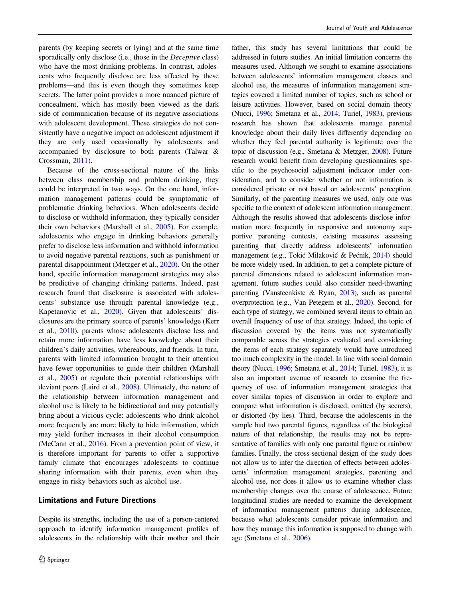parents (by keeping secrets or lying) and at the same time sporadically only disclose (i.e., those in the *Deceptive* class) who have the most drinking problems. In contrast, adolescents who frequently disclose are less affected by these problems—and this is even though they sometimes keep secrets. The latter point provides a more nuanced picture of concealment, which has mostly been viewed as the dark side of communication because of its negative associations with adolescent development. These strategies do not consistently have a negative impact on adolescent adjustment if they are only used occasionally by adolescents and accompanied by disclosure to both parents (Talwar & Crossman, [2011](#page-17-0)).

Because of the cross-sectional nature of the links between class membership and problem drinking, they could be interpreted in two ways. On the one hand, information management patterns could be symptomatic of problematic drinking behaviors. When adolescents decide to disclose or withhold information, they typically consider their own behaviors (Marshall et al., [2005\)](#page-16-0). For example, adolescents who engage in drinking behaviors generally prefer to disclose less information and withhold information to avoid negative parental reactions, such as punishment or parental disappointment (Metzger et al., [2020](#page-16-0)). On the other hand, specific information management strategies may also be predictive of changing drinking patterns. Indeed, past research found that disclosure is associated with adolescents' substance use through parental knowledge (e.g., Kapetanovic et al., [2020\)](#page-16-0). Given that adolescents' disclosures are the primary source of parents' knowledge (Kerr et al., [2010](#page-16-0)), parents whose adolescents disclose less and retain more information have less knowledge about their children's daily activities, whereabouts, and friends. In turn, parents with limited information brought to their attention have fewer opportunities to guide their children (Marshall et al., [2005\)](#page-16-0) or regulate their potential relationships with deviant peers (Laird et al., [2008\)](#page-16-0). Ultimately, the nature of the relationship between information management and alcohol use is likely to be bidirectional and may potentially bring about a vicious cycle: adolescents who drink alcohol more frequently are more likely to hide information, which may yield further increases in their alcohol consumption (McCann et al., [2016](#page-16-0)). From a prevention point of view, it is therefore important for parents to offer a supportive family climate that encourages adolescents to continue sharing information with their parents, even when they engage in risky behaviors such as alcohol use.

### Limitations and Future Directions

Despite its strengths, including the use of a person-centered approach to identify information management profiles of adolescents in the relationship with their mother and their

father, this study has several limitations that could be addressed in future studies. An initial limitation concerns the measures used. Although we sought to examine associations between adolescents' information management classes and alcohol use, the measures of information management strategies covered a limited number of topics, such as school or leisure activities. However, based on social domain theory (Nucci, [1996;](#page-16-0) Smetana et al., [2014;](#page-17-0) Turiel, [1983\)](#page-18-0), previous research has shown that adolescents manage parental knowledge about their daily lives differently depending on whether they feel parental authority is legitimate over the topic of discussion (e.g., Smetana & Metzger, [2008](#page-17-0)). Future research would benefit from developing questionnaires specific to the psychosocial adjustment indicator under consideration, and to consider whether or not information is considered private or not based on adolescents' perception. Similarly, of the parenting measures we used, only one was specific to the context of adolescent information management. Although the results showed that adolescents disclose information more frequently in responsive and autonomy supportive parenting contexts, existing measures assessing parenting that directly address adolescents' information management (e.g., Tokić Milaković & Pećnik, [2014\)](#page-18-0) should be more widely used. In addition, to get a complete picture of parental dimensions related to adolescent information management, future studies could also consider need-thwarting parenting (Vansteenkiste & Ryan, [2013\)](#page-18-0), such as parental overprotection (e.g., Van Petegem et al., [2020\)](#page-18-0). Second, for each type of strategy, we combined several items to obtain an overall frequency of use of that strategy. Indeed, the topic of discussion covered by the items was not systematically comparable across the strategies evaluated and considering the items of each strategy separately would have introduced too much complexity in the model. In line with social domain theory (Nucci, [1996;](#page-16-0) Smetana et al., [2014](#page-17-0); Turiel, [1983\)](#page-18-0), it is also an important avenue of research to examine the frequency of use of information management strategies that cover similar topics of discussion in order to explore and compare what information is disclosed, omitted (by secrets), or distorted (by lies). Third, because the adolescents in the sample had two parental figures, regardless of the biological nature of that relationship, the results may not be representative of families with only one parental figure or rainbow families. Finally, the cross-sectional design of the study does not allow us to infer the direction of effects between adolescents' information management strategies, parenting and alcohol use, nor does it allow us to examine whether class membership changes over the course of adolescence. Future longitudinal studies are needed to examine the development of information management patterns during adolescence, because what adolescents consider private information and how they manage this information is supposed to change with age (Smetana et al., [2006](#page-17-0)).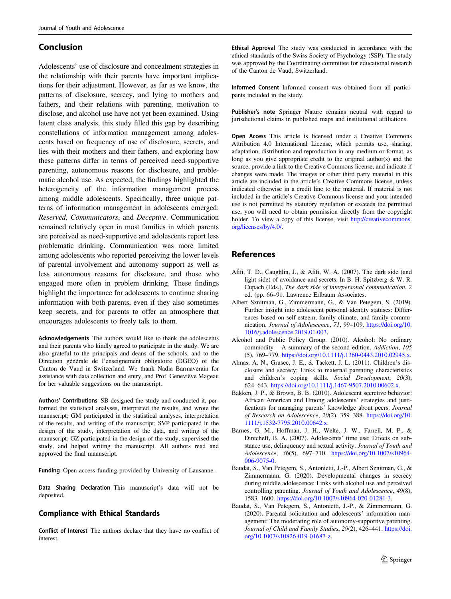# <span id="page-14-0"></span>Conclusion

Adolescents' use of disclosure and concealment strategies in the relationship with their parents have important implications for their adjustment. However, as far as we know, the patterns of disclosure, secrecy, and lying to mothers and fathers, and their relations with parenting, motivation to disclose, and alcohol use have not yet been examined. Using latent class analysis, this study filled this gap by describing constellations of information management among adolescents based on frequency of use of disclosure, secrets, and lies with their mothers and their fathers, and exploring how these patterns differ in terms of perceived need-supportive parenting, autonomous reasons for disclosure, and problematic alcohol use. As expected, the findings highlighted the heterogeneity of the information management process among middle adolescents. Specifically, three unique patterns of information management in adolescents emerged: Reserved, Communicators, and Deceptive. Communication remained relatively open in most families in which parents are perceived as need-supportive and adolescents report less problematic drinking. Communication was more limited among adolescents who reported perceiving the lower levels of parental involvement and autonomy support as well as less autonomous reasons for disclosure, and those who engaged more often in problem drinking. These findings highlight the importance for adolescents to continue sharing information with both parents, even if they also sometimes keep secrets, and for parents to offer an atmosphere that encourages adolescents to freely talk to them.

Acknowledgements The authors would like to thank the adolescents and their parents who kindly agreed to participate in the study. We are also grateful to the principals and deans of the schools, and to the Direction générale de l'enseignement obligatoire (DGEO) of the Canton de Vaud in Switzerland. We thank Nadia Barmaverain for assistance with data collection and entry, and Prof. Geneviève Mageau for her valuable suggestions on the manuscript.

Authors' Contributions SB designed the study and conducted it, performed the statistical analyses, interpreted the results, and wrote the manuscript; GM participated in the statistical analyses, interpretation of the results, and writing of the manuscript; SVP participated in the design of the study, interpretation of the data, and writing of the manuscript; GZ participated in the design of the study, supervised the study, and helped writing the manuscript. All authors read and approved the final manuscript.

Funding Open access funding provided by University of Lausanne.

Data Sharing Declaration This manuscript's data will not be deposited.

### Compliance with Ethical Standards

Conflict of Interest The authors declare that they have no conflict of interest.

Ethical Approval The study was conducted in accordance with the ethical standards of the Swiss Society of Psychology (SSP). The study was approved by the Coordinating committee for educational research of the Canton de Vaud, Switzerland.

Informed Consent Informed consent was obtained from all participants included in the study.

Publisher's note Springer Nature remains neutral with regard to jurisdictional claims in published maps and institutional affiliations.

Open Access This article is licensed under a Creative Commons Attribution 4.0 International License, which permits use, sharing, adaptation, distribution and reproduction in any medium or format, as long as you give appropriate credit to the original author(s) and the source, provide a link to the Creative Commons license, and indicate if changes were made. The images or other third party material in this article are included in the article's Creative Commons license, unless indicated otherwise in a credit line to the material. If material is not included in the article's Creative Commons license and your intended use is not permitted by statutory regulation or exceeds the permitted use, you will need to obtain permission directly from the copyright holder. To view a copy of this license, visit [http://creativecommons.](http://creativecommons.org/licenses/by/4.0/) [org/licenses/by/4.0/](http://creativecommons.org/licenses/by/4.0/).

### References

- Afifi, T. D., Caughlin, J., & Afifi, W. A. (2007). The dark side (and light side) of avoidance and secrets. In B. H. Spitzberg & W. R. Cupach (Eds.), The dark side of interpersonal communication. 2 ed. (pp. 66–91. Lawrence Erlbaum Associates.
- Albert Sznitman, G., Zimmermann, G., & Van Petegem, S. (2019). Further insight into adolescent personal identity statuses: Differences based on self-esteem, family climate, and family communication. Journal of Adolescence, 71, 99–109. [https://doi.org/10.](https://doi.org/10.1016/j.adolescence.2019.01.003) [1016/j.adolescence.2019.01.003.](https://doi.org/10.1016/j.adolescence.2019.01.003)
- Alcohol and Public Policy Group. (2010). Alcohol: No ordinary commodity – A summary of the second edition. Addiction, 105 (5), 769–779. [https://doi.org/10.1111/j.1360-0443.2010.02945.x.](https://doi.org/10.1111/j.1360-0443.2010.02945.x)
- Almas, A. N., Grusec, J. E., & Tackett, J. L. (2011). Children's disclosure and secrecy: Links to maternal parenting characteristics and children's coping skills. Social Development, 20(3), 624–643. [https://doi.org/10.1111/j.1467-9507.2010.00602.x.](https://doi.org/10.1111/j.1467-9507.2010.00602.x)
- Bakken, J. P., & Brown, B. B. (2010). Adolescent secretive behavior: African American and Hmong adolescents' strategies and justifications for managing parents' knowledge about peers. Journal of Research on Adolescence, 20(2), 359–388. [https://doi.org/10.](https://doi.org/10.1111/j.1532-7795.2010.00642.x) [1111/j.1532-7795.2010.00642.x](https://doi.org/10.1111/j.1532-7795.2010.00642.x).
- Barnes, G. M., Hoffman, J. H., Welte, J. W., Farrell, M. P., & Dintcheff, B. A. (2007). Adolescents' time use: Effects on substance use, delinquency and sexual activity. Journal of Youth and Adolescence, 36(5), 697–710. [https://doi.org/10.1007/s10964-](https://doi.org/10.1007/s10964-006-9075-0) [006-9075-0](https://doi.org/10.1007/s10964-006-9075-0).
- Baudat, S., Van Petegem, S., Antonietti, J.-P., Albert Sznitman, G., & Zimmermann, G. (2020). Developmental changes in secrecy during middle adolescence: Links with alcohol use and perceived controlling parenting. Journal of Youth and Adolescence, 49(8), 1583–1600. <https://doi.org/10.1007/s10964-020-01281-3>.
- Baudat, S., Van Petegem, S., Antonietti, J.-P., & Zimmermann, G. (2020). Parental solicitation and adolescents' information management: The moderating role of autonomy-supportive parenting. Journal of Child and Family Studies, 29(2), 426-441. [https://doi.](https://doi.org/10.1007/s10826-019-01687-z) [org/10.1007/s10826-019-01687-z.](https://doi.org/10.1007/s10826-019-01687-z)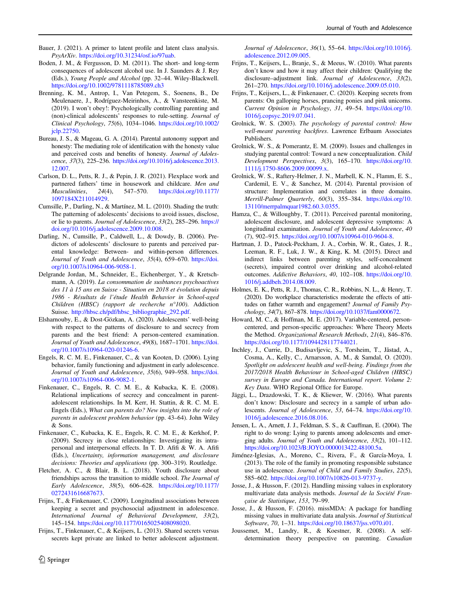- <span id="page-15-0"></span>Bauer, J. (2021). A primer to latent profile and latent class analysis. PsyArXiv. <https://doi.org/10.31234/osf.io/97uab>.
- Boden, J. M., & Fergusson, D. M. (2011). The short- and long-term consequences of adolescent alcohol use. In J. Saunders & J. Rey (Eds.), Young People and Alcohol (pp. 32–44. Wiley-Blackwell. <https://doi.org/10.1002/9781118785089.ch3>
- Brenning, K. M., Antrop, I., Van Petegem, S., Soenens, B., De Meulenaere, J., Rodríguez-Meirinhos, A., & Vansteenkiste, M. (2019). I won't obey!: Psychologically controlling parenting and (non)-clinical adolescents' responses to rule-setting. Journal of Clinical Psychology, 75(6), 1034–1046. [https://doi.org/10.1002/](https://doi.org/10.1002/jclp.22750) [jclp.22750.](https://doi.org/10.1002/jclp.22750)
- Bureau, J. S., & Mageau, G. A. (2014). Parental autonomy support and honesty: The mediating role of identification with the honesty value and perceived costs and benefits of honesty. Journal of Adolescence, 37(3), 225–236. [https://doi.org/10.1016/j.adolescence.2013.](https://doi.org/10.1016/j.adolescence.2013.12.007) [12.007.](https://doi.org/10.1016/j.adolescence.2013.12.007)
- Carlson, D. L., Petts, R. J., & Pepin, J. R. (2021). Flexplace work and partnered fathers' time in housework and childcare. Men and Masculinities, 24(4), 547–570. [https://doi.org/10.1177/](https://doi.org/10.1177/1097184X211014929) [1097184X211014929.](https://doi.org/10.1177/1097184X211014929)
- Cumsille, P., Darling, N., & Martínez, M. L. (2010). Shading the truth: The patterning of adolescents' decisions to avoid issues, disclose, or lie to parents. Journal of Adolescence, 33(2), 285–296. [https://](https://doi.org/10.1016/j.adolescence.2009.10.008) [doi.org/10.1016/j.adolescence.2009.10.008.](https://doi.org/10.1016/j.adolescence.2009.10.008)
- Darling, N., Cumsille, P., Caldwell, L., & Dowdy, B. (2006). Predictors of adolescents' disclosure to parents and perceived parental knowledge: Between- and within-person differences. Journal of Youth and Adolescence, 35(4), 659–670. [https://doi.](https://doi.org/10.1007/s10964-006-9058-1) [org/10.1007/s10964-006-9058-1.](https://doi.org/10.1007/s10964-006-9058-1)
- Delgrande Jordan, M., Schneider, E., Eichenberger, Y., & Kretschmann, A. (2019). La consommation de susbtances psychoactives des 11 à 15 ans en Suisse - Situation en 2018 et évolution depuis 1986 - Résultats de l'étude Health Behavior in School-aged Children (HBSC) (rapport de recherche n°100). Addiction Suisse. [http://hbsc.ch/pdf/hbsc\\_bibliographie\\_292.pdf](http://hbsc.ch/pdf/hbsc_bibliographie_292.pdf).
- Elsharnouby, E., & Dost-Gözkan, A. (2020). Adolescents' well-being with respect to the patterns of disclosure to and secrecy from parents and the best friend: A person-centered examination. Journal of Youth and Adolescence, 49(8), 1687-1701. [https://doi.](https://doi.org/10.1007/s10964-020-01246-6) [org/10.1007/s10964-020-01246-6](https://doi.org/10.1007/s10964-020-01246-6).
- Engels, R. C. M. E., Finkenauer, C., & van Kooten, D. (2006). Lying behavior, family functioning and adjustment in early adolescence. Journal of Youth and Adolescence, 35(6), 949-958. [https://doi.](https://doi.org/10.1007/s10964-006-9082-1) [org/10.1007/s10964-006-9082-1.](https://doi.org/10.1007/s10964-006-9082-1)
- Finkenauer, C., Engels, R. C. M. E., & Kubacka, K. E. (2008). Relational implications of secrecy and concealment in parentadolescent relationships. In M. Kerr, H. Stattin, & R. C. M. E. Engels (Eds.), What can parents do? New insights into the role of parents in adolescent problem behavior (pp. 43–64). John Wiley & Sons.
- Finkenauer, C., Kubacka, K. E., Engels, R. C. M. E., & Kerkhof, P. (2009). Secrecy in close relationships: Investigating its intrapersonal and interpersonal effects. In T. D. Afifi & W. A. Afifi (Eds.), Uncertainty, information management, and disclosure decisions: Theories and applications (pp. 300–319). Routledge.
- Fletcher, A. C., & Blair, B. L. (2018). Youth disclosure about friendships across the transition to middle school. The Journal of Early Adolescence, 38(5), 606–628. [https://doi.org/10.1177/](https://doi.org/10.1177/0272431616687673) [0272431616687673.](https://doi.org/10.1177/0272431616687673)
- Frijns, T., & Finkenauer, C. (2009). Longitudinal associations between keeping a secret and psychosocial adjustment in adolescence. International Journal of Behavioral Development, 33(2), 145–154. [https://doi.org/10.1177/0165025408098020.](https://doi.org/10.1177/0165025408098020)
- Frijns, T., Finkenauer, C., & Keijsers, L. (2013). Shared secrets versus secrets kept private are linked to better adolescent adjustment.

Journal of Adolescence, 36(1), 55–64. [https://doi.org/10.1016/j.](https://doi.org/10.1016/j.adolescence.2012.09.005) [adolescence.2012.09.005](https://doi.org/10.1016/j.adolescence.2012.09.005).

- Frijns, T., Keijsers, L., Branje, S., & Meeus, W. (2010). What parents don't know and how it may affect their children: Qualifying the disclosure–adjustment link. Journal of Adolescence, 33(2), 261–270. [https://doi.org/10.1016/j.adolescence.2009.05.010.](https://doi.org/10.1016/j.adolescence.2009.05.010)
- Frijns, T., Keijsers, L., & Finkenauer, C. (2020). Keeping secrets from parents: On galloping horses, prancing ponies and pink unicorns. Current Opinion in Psychology, 31, 49–54. [https://doi.org/10.](https://doi.org/10.1016/j.copsyc.2019.07.041) [1016/j.copsyc.2019.07.041.](https://doi.org/10.1016/j.copsyc.2019.07.041)
- Grolnick, W. S. (2003). The psychology of parental control: How well-meant parenting backfires. Lawrence Erlbaum Associates Publishers.
- Grolnick, W. S., & Pomerantz, E. M. (2009). Issues and challenges in studying parental control: Toward a new conceptualization. Child Development Perspectives, 3(3), 165–170. [https://doi.org/10.](https://doi.org/10.1111/j.1750-8606.2009.00099.x) [1111/j.1750-8606.2009.00099.x](https://doi.org/10.1111/j.1750-8606.2009.00099.x).
- Grolnick, W. S., Raftery-Helmer, J. N., Marbell, K. N., Flamm, E. S., Cardemil, E. V., & Sanchez, M. (2014). Parental provision of structure: Implementation and correlates in three domains. Merrill-Palmer Quarterly, 60(3), 355–384. [https://doi.org/10.](https://doi.org/10.13110/merrpalmquar1982.60.3.0355) [13110/merrpalmquar1982.60.3.0355.](https://doi.org/10.13110/merrpalmquar1982.60.3.0355)
- Hamza, C., & Willoughby, T. (2011). Perceived parental monitoring, adolescent disclosure, and adolescent depressive symptoms: A longitudinal examination. Journal of Youth and Adolescence, 40 (7), 902–915. <https://doi.org/10.1007/s10964-010-9604-8>.
- Hartman, J. D., Patock-Peckham, J. A., Corbin, W. R., Gates, J. R., Leeman, R. F., Luk, J. W., & King, K. M. (2015). Direct and indirect links between parenting styles, self-concealment (secrets), impaired control over drinking and alcohol-related outcomes. Addictive Behaviors, 40, 102–108. [https://doi.org/10.](https://doi.org/10.1016/j.addbeh.2014.08.009) [1016/j.addbeh.2014.08.009.](https://doi.org/10.1016/j.addbeh.2014.08.009)
- Holmes, E. K., Petts, R. J., Thomas, C. R., Robbins, N. L., & Henry, T. (2020). Do workplace characteristics moderate the effects of attitudes on father warmth and engagement? Journal of Family Psychology, 34(7), 867–878. <https://doi.org/10.1037/fam0000672>.
- Howard, M. C., & Hoffman, M. E. (2017). Variable-centered, personcentered, and person-specific approaches: Where Theory Meets the Method. Organizational Research Methods, 21(4), 846–876. <https://doi.org/10.1177/1094428117744021>.
- Inchley, J., Currie, D., Budisavljevic, S., Torsheim, T., Jåstad, A., Cosma, A., Kelly, C., Arnarsson, A. M., & Samdal, O. (2020). Spotlight on adolescent health and well-being. Findings from the 2017/2018 Health Behaviour in School-aged Children (HBSC) survey in Europe and Canada. International report. Volume 2: Key Data. WHO Regional Office for Europe.
- Jäggi, L., Drazdowski, T. K., & Kliewer, W. (2016). What parents don't know: Disclosure and secrecy in a sample of urban adolescents. Journal of Adolescence, 53, 64–74. [https://doi.org/10.](https://doi.org/10.1016/j.adolescence.2016.08.016) [1016/j.adolescence.2016.08.016.](https://doi.org/10.1016/j.adolescence.2016.08.016)
- Jensen, L. A., Arnett, J. J., Feldman, S. S., & Cauffman, E. (2004). The right to do wrong: Lying to parents among adolescents and emerging adults. Journal of Youth and Adolescence, 33(2), 101–112. <https://doi.org/10.1023/B:JOYO.0000013422.48100.5a>.
- Jiménez-Iglesias, A., Moreno, C., Rivera, F., & García-Moya, I. (2013). The role of the family in promoting responsible substance use in adolescence. Journal of Child and Family Studies, 22(5), 585–602. [https://doi.org/10.1007/s10826-013-9737-y.](https://doi.org/10.1007/s10826-013-9737-y)
- Josse, J., & Husson, F. (2012). Handling missing values in exploratory multivariate data analysis methods. Journal de la Société Française de Statistique, 153, 79–99.
- Josse, J., & Husson, F. (2016). missMDA: A package for handling missing values in multivariate data analysis. Journal of Statistical Software, 70, 1–31. [https://doi.org/10.18637/jss.v070.i01.](https://doi.org/10.18637/jss.v070.i01)
- Joussemet, M., Landry, R., & Koestner, R. (2008). A selfdetermination theory perspective on parenting. Canadian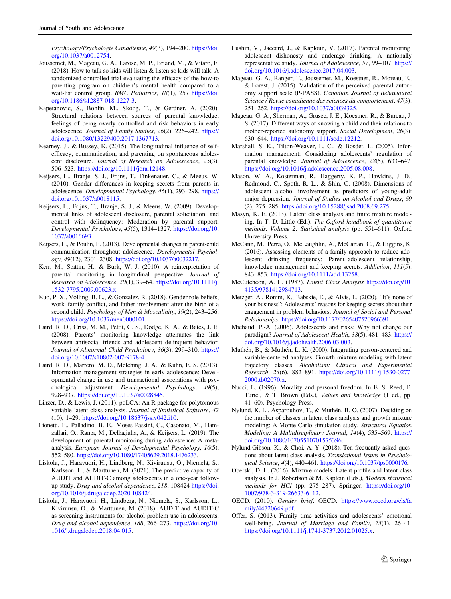<span id="page-16-0"></span>Psychology/Psychologie Canadienne, 49(3), 194–200. [https://doi.](https://doi.org/10.1037/a0012754) [org/10.1037/a0012754.](https://doi.org/10.1037/a0012754)

- Joussemet, M., Mageau, G. A., Larose, M. P., Briand, M., & Vitaro, F. (2018). How to talk so kids will listen & listen so kids will talk: A randomized controlled trial evaluating the efficacy of the how-to parenting program on children's mental health compared to a wait-list control group. BMC Pediatrics, 18(1), 257 [https://doi.](https://doi.org/10.1186/s12887-018-1227-3) [org/10.1186/s12887-018-1227-3.](https://doi.org/10.1186/s12887-018-1227-3)
- Kapetanovic, S., Bohlin, M., Skoog, T., & Gerdner, A. (2020). Structural relations between sources of parental knowledge, feelings of being overly controlled and risk behaviors in early adolescence. Journal of Family Studies, 26(2), 226–242. [https://](https://doi.org/10.1080/13229400.2017.1367713) [doi.org/10.1080/13229400.2017.1367713.](https://doi.org/10.1080/13229400.2017.1367713)
- Kearney, J., & Bussey, K. (2015). The longitudinal influence of selfefficacy, communication, and parenting on spontaneous adolescent disclosure. Journal of Research on Adolescence, 25(3), 506–523. <https://doi.org/10.1111/jora.12148>.
- Keijsers, L., Branje, S. J., Frijns, T., Finkenauer, C., & Meeus, W. (2010). Gender differences in keeping secrets from parents in adolescence. Developmental Psychology, 46(1), 293–298. [https://](https://doi.org/10.1037/a0018115) [doi.org/10.1037/a0018115.](https://doi.org/10.1037/a0018115)
- Keijsers, L., Frijns, T., Branje, S. J., & Meeus, W. (2009). Developmental links of adolescent disclosure, parental solicitation, and control with delinquency: Moderation by parental support. Developmental Psychology, 45(5), 1314–1327. [https://doi.org/10.](https://doi.org/10.1037/a0016693) [1037/a0016693.](https://doi.org/10.1037/a0016693)
- Keijsers, L., & Poulin, F. (2013). Developmental changes in parent-child communication throughout adolescence. Developmental Psychology, 49(12), 2301–2308. [https://doi.org/10.1037/a0032217.](https://doi.org/10.1037/a0032217)
- Kerr, M., Stattin, H., & Burk, W. J. (2010). A reinterpretation of parental monitoring in longitudinal perspective. Journal of Research on Adolescence, 20(1), 39–64. [https://doi.org/10.1111/j.](https://doi.org/10.1111/j.1532-7795.2009.00623.x) [1532-7795.2009.00623.x](https://doi.org/10.1111/j.1532-7795.2009.00623.x).
- Kuo, P. X., Volling, B. L., & Gonzalez, R. (2018). Gender role beliefs, work–family conflict, and father involvement after the birth of a second child. Psychology of Men & Masculinity, 19(2), 243-256. [https://doi.org/10.1037/men0000101.](https://doi.org/10.1037/men0000101)
- Laird, R. D., Criss, M. M., Pettit, G. S., Dodge, K. A., & Bates, J. E. (2008). Parents' monitoring knowledge attenuates the link between antisocial friends and adolescent delinquent behavior. Journal of Abnormal Child Psychology, 36(3), 299-310. [https://](https://doi.org/10.1007/s10802-007-9178-4) [doi.org/10.1007/s10802-007-9178-4.](https://doi.org/10.1007/s10802-007-9178-4)
- Laird, R. D., Marrero, M. D., Melching, J. A., & Kuhn, E. S. (2013). Information management strategies in early adolescence: Developmental change in use and transactional associations with psychological adjustment. Developmental Psychology, 49(5), 928–937. <https://doi.org/10.1037/a0028845>.
- Linzer, D., & Lewis, J. (2011). poLCA: An R package for polytomous variable latent class analysis. Journal of Statistical Software, 42 (10), 1–29. <https://doi.org/10.18637/jss.v042.i10>.
- Lionetti, F., Palladino, B. E., Moses Passini, C., Casonato, M., Hamzallari, O., Ranta, M., Dellagiulia, A., & Keijsers, L. (2019). The development of parental monitoring during adolescence: A metaanalysis. European Journal of Developmental Psychology, 16(5), 552–580. [https://doi.org/10.1080/17405629.2018.1476233.](https://doi.org/10.1080/17405629.2018.1476233)
- Liskola, J., Haravuori, H., Lindberg, N., Kiviruusu, O., Niemelä, S., Karlsson, L., & Marttunen, M. (2021). The predictive capacity of AUDIT and AUDIT-C among adolescents in a one-year followup study. Drug and alcohol dependence, 218, 108424 [https://doi.](https://doi.org/10.1016/j.drugalcdep.2020.108424) [org/10.1016/j.drugalcdep.2020.108424.](https://doi.org/10.1016/j.drugalcdep.2020.108424)
- Liskola, J., Haravuori, H., Lindberg, N., Niemelä, S., Karlsson, L., Kiviruusu, O., & Marttunen, M. (2018). AUDIT and AUDIT-C as screening instruments for alcohol problem use in adolescents. Drug and alcohol dependence, 188, 266–273. [https://doi.org/10.](https://doi.org/10.1016/j.drugalcdep.2018.04.015) [1016/j.drugalcdep.2018.04.015](https://doi.org/10.1016/j.drugalcdep.2018.04.015).
- Lushin, V., Jaccard, J., & Kaploun, V. (2017). Parental monitoring, adolescent dishonesty and underage drinking: A nationally representative study. Journal of Adolescence, 57, 99–107. [https://](https://doi.org/10.1016/j.adolescence.2017.04.003) [doi.org/10.1016/j.adolescence.2017.04.003.](https://doi.org/10.1016/j.adolescence.2017.04.003)
- Mageau, G. A., Ranger, F., Joussemet, M., Koestner, R., Moreau, E., & Forest, J. (2015). Validation of the perceived parental autonomy support scale (P-PASS). Canadian Journal of Behavioural Science / Revue canadienne des sciences du comportement, 47(3), 251–262. <https://doi.org/10.1037/a0039325>.
- Mageau, G. A., Sherman, A., Grusec, J. E., Koestner, R., & Bureau, J. S. (2017). Different ways of knowing a child and their relations to mother-reported autonomy support. Social Development, 26(3), 630–644. [https://doi.org/10.1111/sode.12212.](https://doi.org/10.1111/sode.12212)
- Marshall, S. K., Tilton-Weaver, L. C., & Bosdet, L. (2005). Information management: Considering adolescents' regulation of parental knowledge. Journal of Adolescence, 28(5), 633–647. [https://doi.org/10.1016/j.adolescence.2005.08.008.](https://doi.org/10.1016/j.adolescence.2005.08.008)
- Mason, W. A., Kosterman, R., Haggerty, K. P., Hawkins, J. D., Redmond, C., Spoth, R. L., & Shin, C. (2008). Dimensions of adolescent alcohol involvement as predictors of young-adult major depression. Journal of Studies on Alcohol and Drugs, 69 (2), 275–285. [https://doi.org/10.15288/jsad.2008.69.275.](https://doi.org/10.15288/jsad.2008.69.275)
- Masyn, K. E. (2013). Latent class analysis and finite mixture modeling. In T. D. Little (Ed.), The Oxford handbook of quantitative methods. Volume 2: Statistical analysis (pp. 551–611). Oxford University Press.
- McCann, M., Perra, O., McLaughlin, A., McCartan, C., & Higgins, K. (2016). Assessing elements of a family approach to reduce adolescent drinking frequency: Parent–adolescent relationship, knowledge management and keeping secrets. Addiction, 111(5), 843–853. [https://doi.org/10.1111/add.13258.](https://doi.org/10.1111/add.13258)
- McCutcheon, A. L. (1987). Latent Class Analysis [https://doi.org/10.](https://doi.org/10.4135/9781412984713) [4135/9781412984713](https://doi.org/10.4135/9781412984713).
- Metzger, A., Romm, K., Babskie, E., & Alvis, L. (2020). "It's none of your business": Adolescents' reasons for keeping secrets about their engagement in problem behaviors. Journal of Social and Personal Relationships. <https://doi.org/10.1177/0265407520966391>.
- Michaud, P.-A. (2006). Adolescents and risks: Why not change our paradigm? Journal of Adolescent Health, 38(5), 481–483. [https://](https://doi.org/10.1016/j.jadohealth.2006.03.003) [doi.org/10.1016/j.jadohealth.2006.03.003](https://doi.org/10.1016/j.jadohealth.2006.03.003).
- Muthén, B., & Muthén, L. K. (2000). Integrating person-centered and variable-centered analyses: Growth mixture modeling with latent trajectory classes. Alcoholism: Clinical and Experimental Research, 24(6), 882–891. [https://doi.org/10.1111/j.1530-0277.](https://doi.org/10.1111/j.1530-0277.2000.tb02070.x) [2000.tb02070.x](https://doi.org/10.1111/j.1530-0277.2000.tb02070.x).
- Nucci, L. (1996). Morality and personal freedom. In E. S. Reed, E. Turiel, & T. Brown (Eds.), Values and knowledge (1 ed., pp. 41–60). Psychology Press.
- Nylund, K. L., Asparouhov, T., & Muthén, B. O. (2007). Deciding on the number of classes in latent class analysis and growth mixture modeling: A Monte Carlo simulation study. Structural Equation Modeling: A Multidisciplinary Journal, 14(4), 535–569. [https://](https://doi.org/10.1080/10705510701575396) [doi.org/10.1080/10705510701575396](https://doi.org/10.1080/10705510701575396).
- Nylund-Gibson, K., & Choi, A. Y. (2018). Ten frequently asked questions about latent class analysis. Translational Issues in Psychological Science, 4(4), 440–461. [https://doi.org/10.1037/tps0000176.](https://doi.org/10.1037/tps0000176)
- Oberski, D. L. (2016). Mixture models: Latent profile and latent class analysis. In J. Robertson & M. Kaptein (Eds.), Modern statistical methods for HCI (pp. 275–287). Springer. [https://doi.org/10.](https://doi.org/10.1007/978-3-319-26633-6_12) [1007/978-3-319-26633-6\\_12](https://doi.org/10.1007/978-3-319-26633-6_12).
- OECD. (2010). Gender brief. OECD. [https://www.oecd.org/els/fa](https://www.oecd.org/els/family/44720649.pdf) [mily/44720649.pdf](https://www.oecd.org/els/family/44720649.pdf).
- Offer, S. (2013). Family time activities and adolescents' emotional well-being. Journal of Marriage and Family, 75(1), 26–41. <https://doi.org/10.1111/j.1741-3737.2012.01025.x>.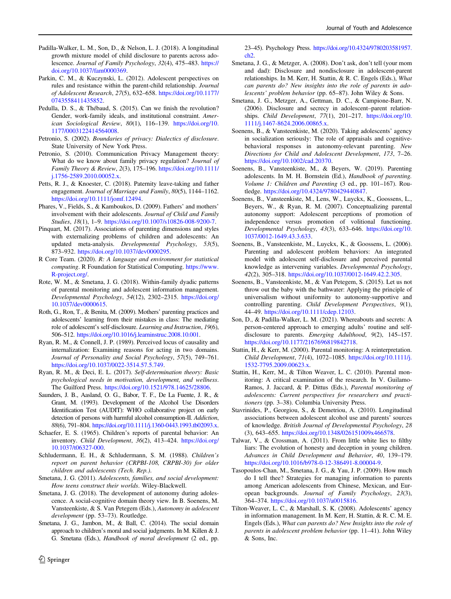- <span id="page-17-0"></span>Padilla-Walker, L. M., Son, D., & Nelson, L. J. (2018). A longitudinal growth mixture model of child disclosure to parents across adolescence. Journal of Family Psychology, 32(4), 475–483. [https://](https://doi.org/10.1037/fam0000369) [doi.org/10.1037/fam0000369.](https://doi.org/10.1037/fam0000369)
- Parkin, C. M., & Kuczynski, L. (2012). Adolescent perspectives on rules and resistance within the parent-child relationship. Journal of Adolescent Research, 27(5), 632–658. [https://doi.org/10.1177/](https://doi.org/10.1177/0743558411435852) [0743558411435852.](https://doi.org/10.1177/0743558411435852)
- Pedulla, D. S., & Thébaud, S. (2015). Can we finish the revolution? Gender, work-family ideals, and institutional constraint. American Sociological Review, 80(1), 116–139. [https://doi.org/10.](https://doi.org/10.1177/0003122414564008) [1177/0003122414564008.](https://doi.org/10.1177/0003122414564008)
- Petronio, S. (2002). Boundaries of privacy: Dialectics of disclosure. State University of New York Press.
- Petronio, S. (2010). Communication Privacy Management theory: What do we know about family privacy regulation? Journal of Family Theory & Review, 2(3), 175–196. [https://doi.org/10.1111/](https://doi.org/10.1111/j.1756-2589.2010.00052.x) [j.1756-2589.2010.00052.x.](https://doi.org/10.1111/j.1756-2589.2010.00052.x)
- Petts, R. J., & Knoester, C. (2018). Paternity leave-taking and father engagement. Journal of Marriage and Family, 80(5), 1144–1162. [https://doi.org/10.1111/jomf.12494.](https://doi.org/10.1111/jomf.12494)
- Phares, V., Fields, S., & Kamboukos, D. (2009). Fathers' and mothers' involvement with their adolescents. Journal of Child and Family Studies, 18(1), 1–9. [https://doi.org/10.1007/s10826-008-9200-7.](https://doi.org/10.1007/s10826-008-9200-7)
- Pinquart, M. (2017). Associations of parenting dimensions and styles with externalizing problems of children and adolescents: An updated meta-analysis. Developmental Psychology, 53(5), 873–932. [https://doi.org/10.1037/dev0000295.](https://doi.org/10.1037/dev0000295)
- R Core Team. (2020). R: A language and environment for statistical computing. R Foundation for Statistical Computing. [https://www.](https://www.R-project.org/) [R-project.org/](https://www.R-project.org/).
- Rote, W. M., & Smetana, J. G. (2018). Within-family dyadic patterns of parental monitoring and adolescent information management. Developmental Psychology, 54(12), 2302–2315. [https://doi.org/](https://doi.org/10.1037/dev0000615) [10.1037/dev0000615.](https://doi.org/10.1037/dev0000615)
- Roth, G., Ron, T., & Benita, M. (2009). Mothers' parenting practices and adolescents' learning from their mistakes in class: The mediating role of adolescent's self-disclosure. Learning and Instruction, 19(6), 506–512. [https://doi.org/10.1016/j.learninstruc.2008.10.001.](https://doi.org/10.1016/j.learninstruc.2008.10.001)
- Ryan, R. M., & Connell, J. P. (1989). Perceived locus of causality and internalization: Examining reasons for acting in two domains. Journal of Personality and Social Psychology, 57(5), 749–761. [https://doi.org/10.1037/0022-3514.57.5.749.](https://doi.org/10.1037/0022-3514.57.5.749)
- Ryan, R. M., & Deci, E. L. (2017). Self-determination theory: Basic psychological needs in motivation, development, and wellness. The Guilford Press. <https://doi.org/10.1521/978.14625/28806>.
- Saunders, J. B., Aasland, O. G., Babor, T. F., De La Fuente, J. R., & Grant, M. (1993). Development of the Alcohol Use Disorders Identification Test (AUDIT): WHO collaborative project on early detection of persons with harmful alcohol consumption-II. Addiction, 88(6), 791–804. <https://doi.org/10.1111/j.1360-0443.1993.tb02093.x>.
- Schaefer, E. S. (1965). Children's reports of parental behavior: An inventory. Child Development, 36(2), 413–424. [https://doi.org/](https://doi.org/10.1037/t06327-000) [10.1037/t06327-000.](https://doi.org/10.1037/t06327-000)
- Schludermann, E. H., & Schludermann, S. M. (1988). Children's report on parent behavior (CRPBI-108, CRPBI-30) for older children and adolescents (Tech. Rep.).
- Smetana, J. G. (2011). Adolescents, families, and social development: How teens construct their worlds. Wiley-Blackwell.
- Smetana, J. G. (2018). The development of autonomy during adolescence. A social-cognitive domain theory view. In B. Soenens, M. Vansteenkiste, & S. Van Petegem (Eds.), Autonomy in adolescent development (pp. 53–73). Routledge.
- Smetana, J. G., Jambon, M., & Ball, C. (2014). The social domain approach to children's moral and social judgments. In M. Killen & J. G. Smetana (Eds.), Handbook of moral development (2 ed., pp.

 $\textcircled{2}$  Springer

23–45). Psychology Press. [https://doi.org/10.4324/9780203581957.](https://doi.org/10.4324/9780203581957.ch2) [ch2.](https://doi.org/10.4324/9780203581957.ch2)

- Smetana, J. G., & Metzger, A. (2008). Don't ask, don't tell (your mom and dad): Disclosure and nondisclosure in adolescent-parent relationships. In M. Kerr, H. Stattin, & R. C. Engels (Eds.), What can parents do? New insights into the role of parents in adolescents' problem behavior (pp. 65–87). John Wiley & Sons.
- Smetana, J. G., Metzger, A., Gettman, D. C., & Campione-Barr, N. (2006). Disclosure and secrecy in adolescent–parent relationships. Child Development, 77(1), 201–217. [https://doi.org/10.](https://doi.org/10.1111/j.1467-8624.2006.00865.x) [1111/j.1467-8624.2006.00865.x](https://doi.org/10.1111/j.1467-8624.2006.00865.x).
- Soenens, B., & Vansteenkiste, M. (2020). Taking adolescents' agency in socialization seriously: The role of appraisals and cognitivebehavioral responses in autonomy-relevant parenting. New Directions for Child and Adolescent Development, 173, 7–26. <https://doi.org/10.1002/cad.20370>.
- Soenens, B., Vansteenkiste, M., & Beyers, W. (2019). Parenting adolescents. In M. H. Bornstein (Ed.), Handbook of parenting. Volume 1: Children and Parenting (3 ed., pp. 101–167). Routledge. <https://doi.org/10.4324/9780429440847>.
- Soenens, B., Vansteenkiste, M., Lens, W., Luyckx, K., Goossens, L., Beyers, W., & Ryan, R. M. (2007). Conceptualizing parental autonomy support: Adolescent perceptions of promotion of independence versus promotion of volitional functioning. Developmental Psychology, 43(3), 633–646. [https://doi.org/10.](https://doi.org/10.1037/0012-1649.43.3.633) [1037/0012-1649.43.3.633.](https://doi.org/10.1037/0012-1649.43.3.633)
- Soenens, B., Vansteenkiste, M., Luyckx, K., & Goossens, L. (2006). Parenting and adolescent problem behaviors: An integrated model with adolescent self-disclosure and perceived parental knowledge as intervening variables. Developmental Psychology, 42(2), 305–318. [https://doi.org/10.1037/0012-1649.42.2.305.](https://doi.org/10.1037/0012-1649.42.2.305)
- Soenens, B., Vansteenkiste, M., & Van Petegem, S. (2015). Let us not throw out the baby with the bathwater: Applying the principle of universalism without uniformity to autonomy-supportive and controlling parenting. Child Development Perspectives, 9(1), 44–49. [https://doi.org/10.1111/cdep.12103.](https://doi.org/10.1111/cdep.12103)
- Son, D., & Padilla-Walker, L. M. (2021). Whereabouts and secrets: A person-centered approach to emerging adults' routine and selfdisclosure to parents. Emerging Adulthood, 9(2), 145–157. <https://doi.org/10.1177/2167696819842718>.
- Stattin, H., & Kerr, M. (2000). Parental monitoring: A reinterpretation. Child Development, 71(4), 1072–1085. [https://doi.org/10.1111/j.](https://doi.org/10.1111/j.1532-7795.2009.00623.x) [1532-7795.2009.00623.x](https://doi.org/10.1111/j.1532-7795.2009.00623.x).
- Stattin, H., Kerr, M., & Tilton Weaver, L. C. (2010). Parental monitoring: A critical examination of the research. In V. Guilamo-Ramos, J. Jaccard, & P. Dittus (Eds.), Parental monitoring of adolescents: Current perspectives for researchers and practitioners (pp. 3–38). Columbia University Press.
- Stavrinides, P., Georgiou, S., & Demetriou, A. (2010). Longitudinal associations between adolescent alcohol use and parents' sources of knowledge. British Journal of Developmental Psychology, 28 (3), 643–655. [https://doi.org/10.1348/026151009x466578.](https://doi.org/10.1348/026151009x466578)
- Talwar, V., & Crossman, A. (2011). From little white lies to filthy liars: The evolution of honesty and deception in young children. Advances in Child Development and Behavior, 40, 139–179. <https://doi.org/10.1016/b978-0-12-386491-8.00004-9>.
- Tasopoulos-Chan, M., Smetana, J. G., & Yau, J. P. (2009). How much do I tell thee? Strategies for managing information to parents among American adolescents from Chinese, Mexican, and European backgrounds. Journal of Family Psychology, 23(3), 364–374. <https://doi.org/10.1037/a0015816>.
- Tilton-Weaver, L. C., & Marshall, S. K. (2008). Adolescents' agency in information management. In M. Kerr, H. Stattin, & R. C. M. E. Engels (Eds.), What can parents do? New Insights into the role of parents in adolescent problem behavior (pp. 11–41). John Wiley & Sons, Inc.